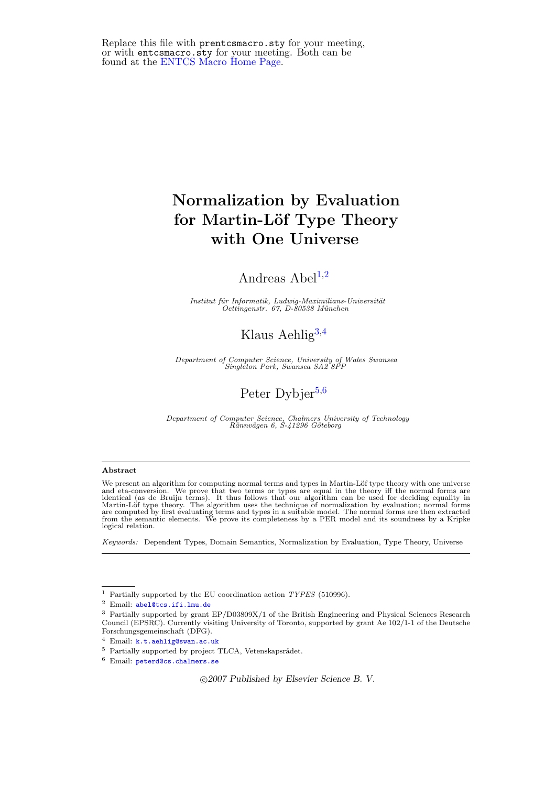Replace this file with prentcsmacro.sty for your meeting, or with entcsmacro.sty for your meeting. Both can be found at the [ENTCS Macro Home Page.](http://www.math.tulane.edu/~entcs)

# Normalization by Evaluation for Martin-Löf Type Theory with One Universe

## Andreas  $Abel<sup>1,2</sup>$  $Abel<sup>1,2</sup>$  $Abel<sup>1,2</sup>$  $Abel<sup>1,2</sup>$  $Abel<sup>1,2</sup>$

Institut für Informatik, Ludwig-Maximilians-Universität<br>Oettingenstr. 67, D-80538 München

## Klaus Aehlig<sup>[3](#page-0-0),[4](#page-0-0)</sup>

Department of Computer Science, University of Wales Swansea Singleton Park, Swansea SA2 8PP

## Peter Dybjer<sup>[5](#page-0-0),[6](#page-0-0)</sup>

Department of Computer Science, Chalmers University of Technology<br>Rännvägen 6, S-41296 Göteborg

#### <span id="page-0-0"></span>Abstract

We present an algorithm for computing normal terms and types in Martin-Löf type theory with one universe<br>and eta-conversion. We prove that two terms or types are equal in the theory iff the normal forms are<br>identical (as d logical relation.

Keywords: Dependent Types, Domain Semantics, Normalization by Evaluation, Type Theory, Universe

c 2007 Published by Elsevier Science B. V.

<sup>&</sup>lt;sup>1</sup> Partially supported by the EU coordination action  $TYPES$  (510996).

<sup>2</sup> Email: [abel@tcs.ifi.lmu.de](file:abel@tcs.ifi.lmu.de)

<sup>3</sup> Partially supported by grant EP/D03809X/1 of the British Engineering and Physical Sciences Research Council (EPSRC). Currently visiting University of Toronto, supported by grant Ae 102/1-1 of the Deutsche Forschungsgemeinschaft (DFG).

<sup>4</sup> Email: [k.t.aehlig@swan.ac.uk](file:k.t.aehlig@swan.ac.uk)

 $^5\,$  Partially supported by project TLCA, Vetenskapsrådet.

<sup>6</sup> Email: [peterd@cs.chalmers.se](file:peterd@cs.chalmers.se)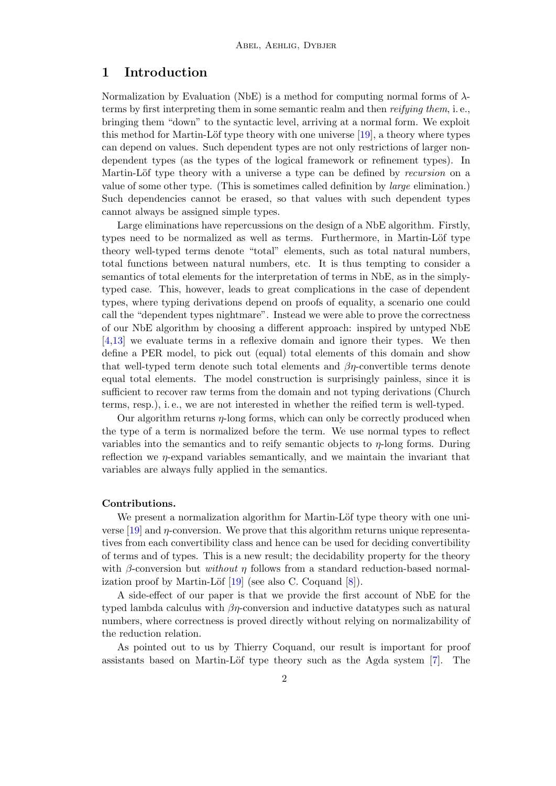## 1 Introduction

Normalization by Evaluation (NbE) is a method for computing normal forms of  $\lambda$ terms by first interpreting them in some semantic realm and then reifying them, i. e., bringing them "down" to the syntactic level, arriving at a normal form. We exploit this method for Martin-Löf type theory with one universe  $[19]$ , a theory where types can depend on values. Such dependent types are not only restrictions of larger nondependent types (as the types of the logical framework or refinement types). In Martin-Löf type theory with a universe a type can be defined by recursion on a value of some other type. (This is sometimes called definition by large elimination.) Such dependencies cannot be erased, so that values with such dependent types cannot always be assigned simple types.

Large eliminations have repercussions on the design of a NbE algorithm. Firstly, types need to be normalized as well as terms. Furthermore, in Martin-Löf type theory well-typed terms denote "total" elements, such as total natural numbers, total functions between natural numbers, etc. It is thus tempting to consider a semantics of total elements for the interpretation of terms in NbE, as in the simplytyped case. This, however, leads to great complications in the case of dependent types, where typing derivations depend on proofs of equality, a scenario one could call the "dependent types nightmare". Instead we were able to prove the correctness of our NbE algorithm by choosing a different approach: inspired by untyped NbE [\[4,](#page-18-0)[13\]](#page-19-1) we evaluate terms in a reflexive domain and ignore their types. We then define a PER model, to pick out (equal) total elements of this domain and show that well-typed term denote such total elements and  $\beta\eta$ -convertible terms denote equal total elements. The model construction is surprisingly painless, since it is sufficient to recover raw terms from the domain and not typing derivations (Church terms, resp.), i. e., we are not interested in whether the reified term is well-typed.

Our algorithm returns  $\eta$ -long forms, which can only be correctly produced when the type of a term is normalized before the term. We use normal types to reflect variables into the semantics and to reify semantic objects to η-long forms. During reflection we  $\eta$ -expand variables semantically, and we maintain the invariant that variables are always fully applied in the semantics.

#### Contributions.

We present a normalization algorithm for Martin-Löf type theory with one universe [\[19\]](#page-19-0) and η-conversion. We prove that this algorithm returns unique representatives from each convertibility class and hence can be used for deciding convertibility of terms and of types. This is a new result; the decidability property for the theory with  $\beta$ -conversion but *without*  $\eta$  follows from a standard reduction-based normalization proof by Martin-Löf  $[19]$  (see also C. Coquand  $[8]$ ).

A side-effect of our paper is that we provide the first account of NbE for the typed lambda calculus with  $\beta\eta$ -conversion and inductive datatypes such as natural numbers, where correctness is proved directly without relying on normalizability of the reduction relation.

As pointed out to us by Thierry Coquand, our result is important for proof assistants based on Martin-Löf type theory such as the Agda system  $[7]$ . The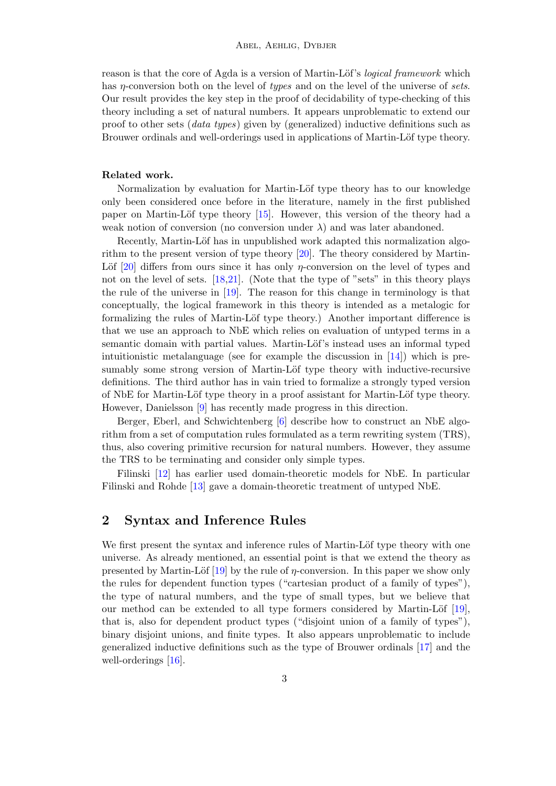reason is that the core of Agda is a version of Martin-Löf's *logical framework* which has η-conversion both on the level of types and on the level of the universe of sets. Our result provides the key step in the proof of decidability of type-checking of this theory including a set of natural numbers. It appears unproblematic to extend our proof to other sets (data types) given by (generalized) inductive definitions such as Brouwer ordinals and well-orderings used in applications of Martin-Löf type theory.

#### Related work.

Normalization by evaluation for Martin-Löf type theory has to our knowledge only been considered once before in the literature, namely in the first published paper on Martin-Löf type theory  $[15]$ . However, this version of the theory had a weak notion of conversion (no conversion under  $\lambda$ ) and was later abandoned.

Recently, Martin-Löf has in unpublished work adapted this normalization algorithm to the present version of type theory [\[20\]](#page-19-5). The theory considered by Martin-Löf  $[20]$  differs from ours since it has only  $\eta$ -conversion on the level of types and not on the level of sets. [\[18](#page-19-6)[,21\]](#page-19-7). (Note that the type of "sets" in this theory plays the rule of the universe in [\[19\]](#page-19-0). The reason for this change in terminology is that conceptually, the logical framework in this theory is intended as a metalogic for formalizing the rules of Martin-Löf type theory.) Another important difference is that we use an approach to NbE which relies on evaluation of untyped terms in a semantic domain with partial values. Martin-Löf's instead uses an informal typed intuitionistic metalanguage (see for example the discussion in  $[14]$ ) which is presumably some strong version of Martin-Löf type theory with inductive-recursive definitions. The third author has in vain tried to formalize a strongly typed version of NbE for Martin-Löf type theory in a proof assistant for Martin-Löf type theory. However, Danielsson [\[9\]](#page-19-9) has recently made progress in this direction.

Berger, Eberl, and Schwichtenberg [\[6\]](#page-19-10) describe how to construct an NbE algorithm from a set of computation rules formulated as a term rewriting system (TRS), thus, also covering primitive recursion for natural numbers. However, they assume the TRS to be terminating and consider only simple types.

Filinski [\[12\]](#page-19-11) has earlier used domain-theoretic models for NbE. In particular Filinski and Rohde [\[13\]](#page-19-1) gave a domain-theoretic treatment of untyped NbE.

## 2 Syntax and Inference Rules

We first present the syntax and inference rules of Martin-Löf type theory with one universe. As already mentioned, an essential point is that we extend the theory as presented by Martin-Löf  $[19]$  by the rule of *n*-conversion. In this paper we show only the rules for dependent function types ("cartesian product of a family of types"), the type of natural numbers, and the type of small types, but we believe that our method can be extended to all type formers considered by Martin-Löf  $[19]$ , that is, also for dependent product types ("disjoint union of a family of types"), binary disjoint unions, and finite types. It also appears unproblematic to include generalized inductive definitions such as the type of Brouwer ordinals [\[17\]](#page-19-12) and the well-orderings [\[16\]](#page-19-13).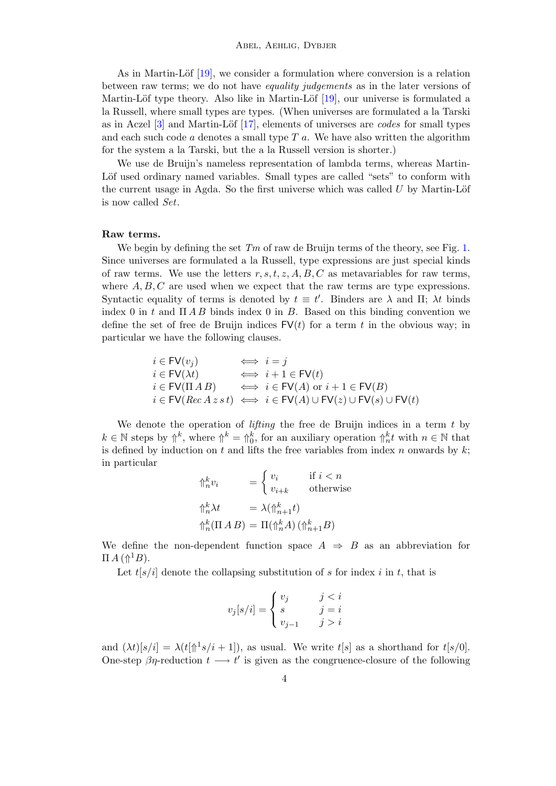As in Martin-Löf  $[19]$ , we consider a formulation where conversion is a relation between raw terms; we do not have equality judgements as in the later versions of Martin-Löf type theory. Also like in Martin-Löf  $[19]$ , our universe is formulated a la Russell, where small types are types. (When universes are formulated a la Tarski as in Aczel  $[3]$  and Martin-Löf  $[17]$ , elements of universes are *codes* for small types and each such code  $\alpha$  denotes a small type  $T$   $\alpha$ . We have also written the algorithm for the system a la Tarski, but the a la Russell version is shorter.)

We use de Bruijn's nameless representation of lambda terms, whereas Martin-Löf used ordinary named variables. Small types are called "sets" to conform with the current usage in Agda. So the first universe which was called  $U$  by Martin-Löf is now called Set.

#### Raw terms.

We begin by defining the set  $Tm$  of raw de Bruijn terms of the theory, see Fig. [1.](#page-4-0) Since universes are formulated a la Russell, type expressions are just special kinds of raw terms. We use the letters  $r, s, t, z, A, B, C$  as metavariables for raw terms, where  $A, B, C$  are used when we expect that the raw terms are type expressions. Syntactic equality of terms is denoted by  $t \equiv t'$ . Binders are  $\lambda$  and  $\Pi$ ;  $\lambda t$  binds index 0 in t and  $\Pi$  A B binds index 0 in B. Based on this binding convention we define the set of free de Bruijn indices  $FV(t)$  for a term t in the obvious way; in particular we have the following clauses.

$$
\begin{array}{lll}\ni\in{\sf FV}(v_j) &\Longleftrightarrow& i=j\\ i\in{\sf FV}(\lambda t) &\Longleftrightarrow& i+1\in{\sf FV}(t)\\ i\in{\sf FV}(\Pi\,A\,B) &\Longleftrightarrow& i\in{\sf FV}(A)\ {\rm or}\ i+1\in{\sf FV}(B)\\ i\in{\sf FV}(Rec\,A\,z\,s\,t) &\Longleftrightarrow& i\in{\sf FV}(A)\cup{\sf FV}(z)\cup{\sf FV}(s)\cup{\sf FV}(t)\end{array}
$$

We denote the operation of *lifting* the free de Bruijn indices in a term  $t$  by  $k \in \mathbb{N}$  steps by  $\uparrow^k$ , where  $\uparrow^k = \uparrow^k_0$ , for an auxiliary operation  $\uparrow^k_n t$  with  $n \in \mathbb{N}$  that is defined by induction on t and lifts the free variables from index n onwards by  $k$ ; in particular

$$
\begin{aligned}\n\Uparrow_n^k v_i &= \begin{cases}\nv_i & \text{if } i < n \\
v_{i+k} & \text{otherwise}\n\end{cases} \\
\Uparrow_n^k \lambda t &= \lambda(\Uparrow_{n+1}^k t) \\
\Uparrow_n^k (\Pi \, A \, B) &= \Pi(\Uparrow_n^k A) \, (\Uparrow_{n+1}^k B)\n\end{aligned}
$$

We define the non-dependent function space  $A \Rightarrow B$  as an abbreviation for  $\Pi A(\Uparrow^1 B).$ 

Let  $t[s/i]$  denote the collapsing substitution of s for index i in t, that is

$$
v_j[s/i] = \begin{cases} v_j & j < i \\ s & j = i \\ v_{j-1} & j > i \end{cases}
$$

and  $(\lambda t)[s/i] = \lambda(t[\hat{\mathcal{D}}^1 s/i + 1])$ , as usual. We write  $t[s]$  as a shorthand for  $t[s/0]$ . One-step  $\beta\eta$ -reduction  $t \longrightarrow t'$  is given as the congruence-closure of the following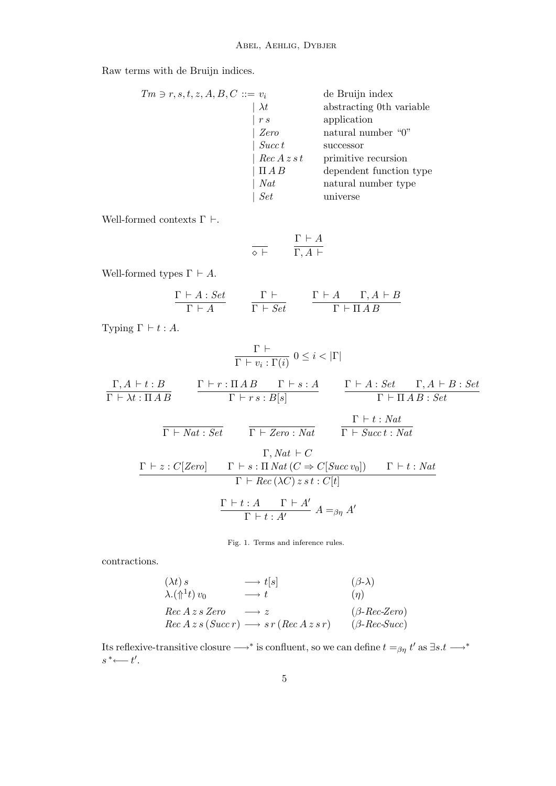Raw terms with de Bruijn indices.

| $Tm \ni r, s, t, z, A, B, C ::= v_i$ | de Bruijn index          |
|--------------------------------------|--------------------------|
| $\lambda t$                          | abstracting 0th variable |
| r s                                  | application              |
| Zero                                 | natural number "0"       |
| Succ t                               | successor                |
| $Rec\,A\,z\,s\,t$                    | primitive recursion      |
| $\Pi AB$                             | dependent function type  |
| Nat                                  | natural number type      |
| <b>Set</b>                           | universe                 |

Well-formed contexts  $\Gamma \vdash$ .

$$
\overline{\diamond\vdash}\qquad\frac{\Gamma\vdash A}{\Gamma,A\vdash}
$$

Well-formed types  $\Gamma \vdash A$ .

$$
\frac{\Gamma \vdash A : Set}{\Gamma \vdash A} \qquad \frac{\Gamma \vdash}{\Gamma \vdash Set} \qquad \frac{\Gamma \vdash A \qquad \Gamma, A \vdash B}{\Gamma \vdash \Pi \, AB}
$$

Typing  $\Gamma \vdash t : A$ .

$$
\frac{\Gamma \vdash}{\Gamma \vdash v_i : \Gamma(i)} 0 \leq i < |\Gamma|
$$

 $\Gamma, A \vdash t : B$  $\Gamma \vdash \lambda t : \Pi \, A \, B$  $\Gamma \vdash r : \Pi \, A \, B \qquad \Gamma \vdash s : A$  $\Gamma \vdash r \, s : B[s]$  $\Gamma \vdash A : Set \qquad \Gamma, A \vdash B : Set$  $\Gamma \vdash \Pi \land B : Set$ 

$$
\Gamma \vdash Nat : Set \qquad \Gamma \vdash Zero : Nat \qquad \frac{\Gamma \vdash t : Nat}{\Gamma \vdash Succ t : Nat}
$$

$$
\Gamma, Nat \vdash C
$$
\n
$$
\Gamma \vdash z : C[Zero] \qquad \Gamma \vdash s : \Pi Nat(C \Rightarrow C[Succ v_0]) \qquad \Gamma \vdash t : Nat
$$
\n
$$
\Gamma \vdash Rec (\lambda C) z st : C[t]
$$
\n
$$
\frac{\Gamma \vdash t : A \qquad \Gamma \vdash A'}{\Gamma \vdash t : A'} \qquad A =_{\beta\eta} A'
$$

<span id="page-4-0"></span>Fig. 1. Terms and inference rules.

contractions.

$$
(\lambda t) s \longrightarrow t[s] \qquad (\beta-\lambda)
$$
  
\n
$$
\lambda.(\Uparrow^{1}t) v_{0} \longrightarrow t \qquad (\eta)
$$
  
\n
$$
Rec A z s Zero \longrightarrow z \qquad (\beta-Rec-Zero)
$$
  
\n
$$
Rec A z s (Succ r) \longrightarrow sr (Rec A z s r) \qquad (\beta-Rec-Succ)
$$

Its reflexive-transitive closure  $\longrightarrow^*$  is confluent, so we can define  $t =_{\beta\eta} t'$  as  $\exists s.t \longrightarrow^*$  $s^*$  ←  $t'$ .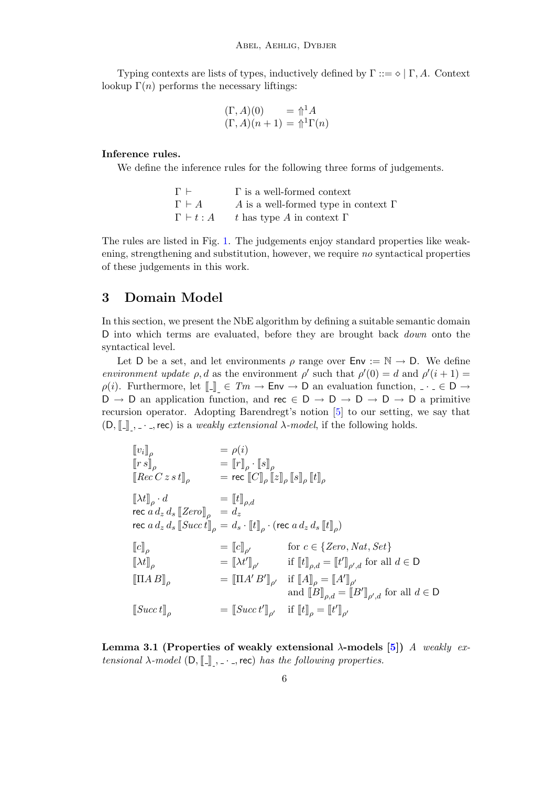Typing contexts are lists of types, inductively defined by  $\Gamma ::= \Diamond \mid \Gamma, A$ . Context lookup  $\Gamma(n)$  performs the necessary liftings:

$$
\begin{array}{ll} (\Gamma, A)(0) &= \Uparrow^1 A \\ (\Gamma, A)(n+1) &= \Uparrow^1 \Gamma(n) \end{array}
$$

#### Inference rules.

We define the inference rules for the following three forms of judgements.

| $\Gamma$ $\vdash$   | $\Gamma$ is a well-formed context           |
|---------------------|---------------------------------------------|
| $\Gamma \vdash A$   | A is a well-formed type in context $\Gamma$ |
| $\Gamma \vdash t:A$ | t has type A in context $\Gamma$            |

The rules are listed in Fig. [1.](#page-4-0) The judgements enjoy standard properties like weakening, strengthening and substitution, however, we require no syntactical properties of these judgements in this work.

## <span id="page-5-0"></span>3 Domain Model

In this section, we present the NbE algorithm by defining a suitable semantic domain D into which terms are evaluated, before they are brought back *down* onto the syntactical level.

Let D be a set, and let environments  $\rho$  range over  $\text{Env} := \mathbb{N} \to \text{D}$ . We define environment update  $\rho$ , d as the environment  $\rho'$  such that  $\rho'(0) = d$  and  $\rho'(i+1) =$  $\rho(i)$ . Furthermore, let  $\llbracket \_ \rrbracket \in Tm \to \text{Env} \to \text{D}$  an evaluation function,  $\ldots \in \text{D} \to \text{D}$  $D \to D$  an application function, and rec  $\in D \to D \to D \to D \to D$  a primitive recursion operator. Adopting Barendregt's notion [\[5\]](#page-18-2) to our setting, we say that  $(D, \llbracket \cdot \rrbracket, \ldots, \mathsf{rec})$  is a *weakly extensional*  $\lambda$ -model, if the following holds.

$$
\[ [v_i]_\rho = \rho(i) \n[rs]_\rho = [r]_\rho \cdot [s]_\rho \n[Rec C z s t]_\rho = \text{rec } [C]_\rho [z]_\rho [s]_\rho [t]_\rho \n[At]_\rho \cdot d = [t]_{\rho,d} \n\text{rec } a d_z d_s [Zero]_\rho = d_z \n\text{rec } a d_z d_s [Succ t]_\rho = d_s \cdot [t]_\rho \cdot (\text{rec } a d_z d_s [t]_\rho) \n[[c]_\rho = [c]_{\rho'} \quad \text{for } c \in \{Zero, Nat, Set\} \n[At]_\rho = [At']_{\rho'} \quad \text{if } [t]_{\rho,d} = [t']_{\rho',d} \text{ for all } d \in D \n[IIAB]_\rho = [IA'B']_\rho \quad \text{and } [B]_{\rho,d} = [B']_{\rho',d} \text{ for all } d \in D \n[Succ t]_\rho = [Succ t']_\rho \quad \text{if } [t]_\rho = [t']_{\rho'}
$$

Lemma 3.1 (Properties of weakly extensional  $\lambda$ -models [\[5\]](#page-18-2)) A weakly extensional  $\lambda$ -model (D,  $\llbracket \_ \cdot \_ \cdot$ , rec) has the following properties.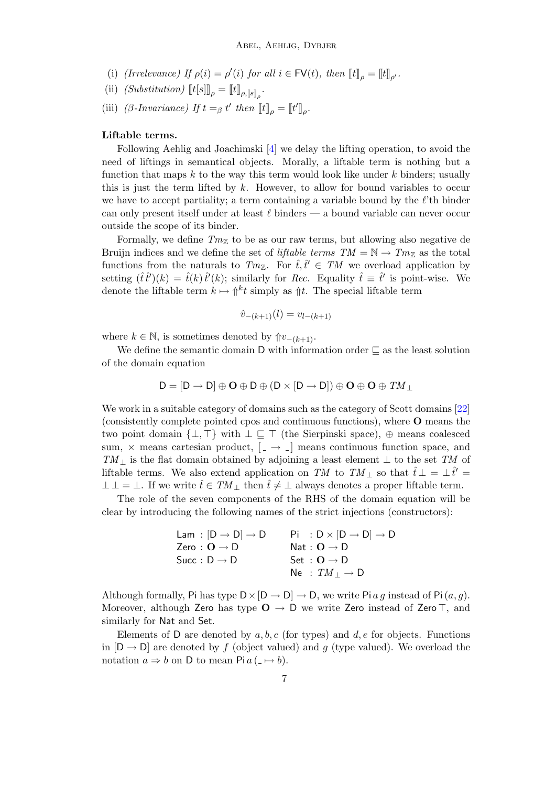- (i) (Irrelevance) If  $\rho(i) = \rho'(i)$  for all  $i \in \text{FV}(t)$ , then  $[\![t]\!]_{\rho} = [\![t]\!]_{\rho'}$ .
- (ii)  $(Substitution)$   $[[t[s]]_{\rho} = [[t]]_{\rho, [s]]_{\rho}}$ .
- (iii) (β-Invariance) If  $t =_\beta t'$  then  $[$ [t]<sub> $\rho$ </sub> =  $[$ [t']<sub> $\rho$ </sub>.

#### Liftable terms.

Following Aehlig and Joachimski [\[4\]](#page-18-0) we delay the lifting operation, to avoid the need of liftings in semantical objects. Morally, a liftable term is nothing but a function that maps  $k$  to the way this term would look like under  $k$  binders; usually this is just the term lifted by  $k$ . However, to allow for bound variables to occur we have to accept partiality; a term containing a variable bound by the  $\ell$ 'th binder can only present itself under at least  $\ell$  binders — a bound variable can never occur outside the scope of its binder.

Formally, we define  $Tm_Z$  to be as our raw terms, but allowing also negative de Bruijn indices and we define the set of *liftable terms*  $TM = N \rightarrow Tm_Z$  as the total functions from the naturals to  $Tm_{\mathbb{Z}}$ . For  $\hat{t}, \hat{t}' \in TM$  we overload application by setting  $(\hat{t}\hat{t}')(k) = \hat{t}(k)\hat{t}'(k)$ ; similarly for Rec. Equality  $\hat{t} \equiv \hat{t}'$  is point-wise. We denote the liftable term  $k \mapsto \int_0^k t \text{ simply as } \hat{\pi}$ . The special liftable term

$$
\hat{v}_{-(k+1)}(l) = v_{l-(k+1)}
$$

where  $k \in \mathbb{N}$ , is sometimes denoted by  $\Uparrow v_{-(k+1)}$ .

We define the semantic domain D with information order  $\sqsubseteq$  as the least solution of the domain equation

$$
D=[D\rightarrow D]\oplus\textbf{O}\oplus D\oplus (D\times [D\rightarrow D])\oplus\textbf{O}\oplus\textbf{O}\oplus\mathit{TM}_\perp
$$

We work in a suitable category of domains such as the category of Scott domains [\[22\]](#page-19-14) (consistently complete pointed cpos and continuous functions), where O means the two point domain  $\{\perp, \top\}$  with  $\perp \sqsubseteq \top$  (the Sierpinski space),  $\oplus$  means coalesced sum,  $\times$  means cartesian product,  $\left[ \Box \rightarrow \Box \right]$  means continuous function space, and  $TM_{\perp}$  is the flat domain obtained by adjoining a least element  $\perp$  to the set TM of liftable terms. We also extend application on TM to TM  $_{\perp}$  so that  $\hat{t} \perp = \perp \hat{t}' =$  $\bot \bot = \bot$ . If we write  $\hat{t} \in TM_{\bot}$  then  $\hat{t} \neq \bot$  always denotes a proper liftable term.

The role of the seven components of the RHS of the domain equation will be clear by introducing the following names of the strict injections (constructors):

| Lam : $[D \rightarrow D] \rightarrow D$    | $Pi : D \times [D \rightarrow D] \rightarrow D$ |
|--------------------------------------------|-------------------------------------------------|
| Zero : $\mathbf{O} \rightarrow \mathbf{D}$ | Nat : $O \rightarrow D$                         |
| Succ: $D \rightarrow D$                    | Set : $\mathbf{O} \rightarrow \mathbf{D}$       |
|                                            | Ne : $TM_{\perp} \rightarrow D$                 |

Although formally, Pi has type  $D \times [D \to D] \to D$ , we write Pi a g instead of Pi  $(a, g)$ . Moreover, although Zero has type  $O \rightarrow D$  we write Zero instead of Zero  $\top$ , and similarly for Nat and Set.

Elements of D are denoted by  $a, b, c$  (for types) and  $d, e$  for objects. Functions in  $[D \rightarrow D]$  are denoted by f (object valued) and g (type valued). We overload the notation  $a \Rightarrow b$  on D to mean Pi  $a (\Rightarrow b)$ .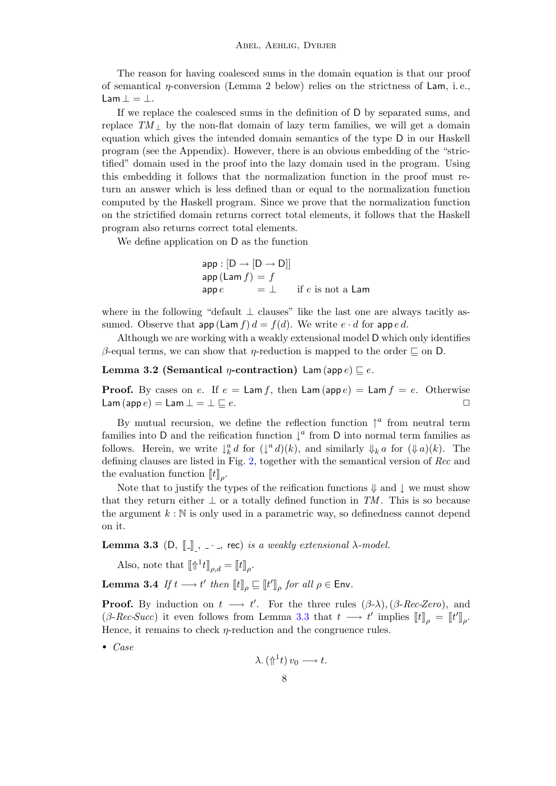The reason for having coalesced sums in the domain equation is that our proof of semantical  $\eta$ -conversion (Lemma 2 below) relies on the strictness of Lam, i.e., Lam  $\bot = \bot$ .

If we replace the coalesced sums in the definition of D by separated sums, and replace  $TM_+$  by the non-flat domain of lazy term families, we will get a domain equation which gives the intended domain semantics of the type D in our Haskell program (see the Appendix). However, there is an obvious embedding of the "strictified" domain used in the proof into the lazy domain used in the program. Using this embedding it follows that the normalization function in the proof must return an answer which is less defined than or equal to the normalization function computed by the Haskell program. Since we prove that the normalization function on the strictified domain returns correct total elements, it follows that the Haskell program also returns correct total elements.

We define application on D as the function

 $app : [D \rightarrow [D \rightarrow D]]$  $\mathsf{app}\left(\mathsf{Lam}\,f\right) = f$  $\mathsf{app}\,e = \bot$  if  $e$  is not a Lam

where in the following "default ⊥ clauses" like the last one are always tacitly assumed. Observe that  $app(\textsf{Lam } f) d = f(d)$ . We write  $e \cdot d$  for  $app e d$ .

Although we are working with a weakly extensional model D which only identifies β-equal terms, we can show that *η*-reduction is mapped to the order  $\subseteq$  on D.

<span id="page-7-1"></span>Lemma 3.2 (Semantical *η*-contraction) Lam (app  $e \subseteq e$ .

**Proof.** By cases on e. If  $e = \text{Lam } f$ , then  $\text{Lam}(\textsf{app } e) = \text{Lam } f = e$ . Otherwise Lam  $(\textsf{app}\,e) = \textsf{Lam}\perp = \perp \sqsubseteq e.$ 

By mutual recursion, we define the reflection function  $\uparrow^a$  from neutral term families into D and the reification function  $\downarrow^a$  from D into normal term families as follows. Herein, we write  $\downarrow_k^a d$  for  $(\downarrow^a d)(k)$ , and similarly  $\downarrow_k a$  for  $(\downarrow a)(k)$ . The defining clauses are listed in Fig. [2,](#page-8-0) together with the semantical version of Rec and the evaluation function  $[[t]]_\rho$ .

Note that to justify the types of the reification functions  $\Downarrow$  and  $\downarrow$  we must show that they return either  $\perp$  or a totally defined function in TM. This is so because the argument  $k : \mathbb{N}$  is only used in a parametric way, so definedness cannot depend on it.

<span id="page-7-0"></span>Lemma 3.3 (D,  $\llbracket \_ \ \rbrack$ ,  $\ldots$ , rec) is a weakly extensional  $\lambda$ -model.

Also, note that  $[\![\Uparrow^1 t]\!]_{\rho,d} = [ \! [t]\!]_{\rho}.$ 

Lemma 3.4 If  $t \longrightarrow t'$  then  $[\![t]\!]_{\rho} \sqsubseteq [\![t']\!]_{\rho}$  for all  $\rho \in \mathsf{Env}.$ 

**Proof.** By induction on  $t \rightarrow t'$ . For the three rules  $(\beta-\lambda)$ ,  $(\beta-Rec-Zero)$ , and  $(\beta\text{-}Rec\text{-}Succ)$  it even follows from Lemma [3.3](#page-7-0) that  $t \longrightarrow t'$  implies  $[[t]]_{\rho} = [[t]]_{\rho}$ . Hence, it remains to check  $\eta$ -reduction and the congruence rules.

• Case

$$
\lambda.(\Uparrow^1 t)\,v_0\longrightarrow t.
$$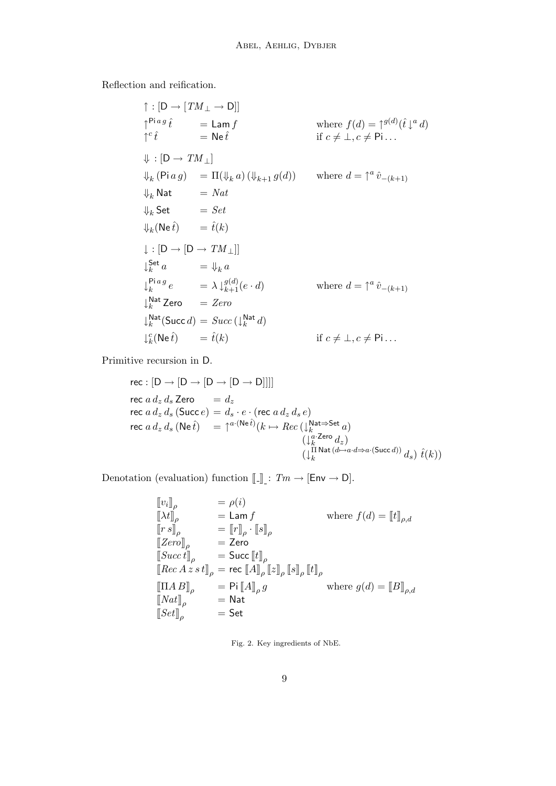Reflection and reification.

$$
\uparrow : [D \rightarrow [TM_{\perp} \rightarrow D]]
$$
\n
$$
\uparrow^{\text{Pi}ag} \hat{t} = \text{Lam} f \qquad \text{where } f(d) = \uparrow^{g(d)}(\hat{t})^a d)
$$
\n
$$
\uparrow^c \hat{t} = \text{Ne} \hat{t} \qquad \text{if } c \neq \perp, c \neq \text{Pi} \dots
$$
\n
$$
\Downarrow : [D \rightarrow TM_{\perp}]
$$
\n
$$
\Downarrow_k (\text{Pi}ag) = \Pi(\Downarrow_k a) (\Downarrow_{k+1} g(d)) \qquad \text{where } d = \uparrow^a \hat{v}_{-(k+1)}
$$
\n
$$
\Downarrow_k \text{Nat} = Nat
$$
\n
$$
\Downarrow_k \text{Set} = Set
$$
\n
$$
\Downarrow_k (\text{Ne} \hat{t}) = \hat{t}(k)
$$
\n
$$
\downarrow : [D \rightarrow [D \rightarrow TM_{\perp}]]
$$
\n
$$
\downarrow^{\text{Set}}_{k} a = \Downarrow_k a
$$
\n
$$
\downarrow^{\text{Pi}ag} \hat{t} e = \lambda \downarrow^{g(d)}_{k+1} (e \cdot d) \qquad \text{where } d = \uparrow^a \hat{v}_{-(k+1)}
$$
\n
$$
\downarrow^{\text{Nat}}_{k} \text{Zero} = Zero
$$
\n
$$
\downarrow^{\text{Nat}}_{k} (\text{Succ } d) = Succ (\downarrow^{\text{Nat}}_{k} d)
$$
\n
$$
\downarrow^c_{k} (\text{Ne} \hat{t}) = \hat{t}(k) \qquad \text{if } c \neq \perp, c \neq \text{Pi} \dots
$$

Primitive recursion in D.

$$
\begin{array}{l}\n\text{rec}: \left[D \rightarrow \left[D \rightarrow \left[D \rightarrow D\right]\right]\right] \\
\text{rec}\ a\ d_z\ d_s\ \text{Zero} = d_z \\
\text{rec}\ a\ d_z\ d_s\ \text{(Succ}\ e) = d_s \cdot e \cdot (\text{rec}\ a\ d_z\ d_s\ e) \\
\text{rec}\ a\ d_z\ d_s\ \text{(Ne}\ \hat{t}) = \uparrow^{a \cdot (\text{Ne}\ \hat{t})} (k \mapsto Rec\ (\downarrow^{Nat \Rightarrow \text{Set}}_k\ a) \\
& \qquad \qquad \downarrow^{a \cdot \text{Zero}}_k\ d_z) \\
& \qquad \qquad \downarrow^{B \cdot \text{Mat}\ (d \mapsto a \cdot d \Rightarrow a \cdot (\text{Succ}\ d))} d_s\ \text{ )}\ \hat{t}(k)\n\end{array}
$$

Denotation (evaluation) function  $[\![ . ]\!]_- \colon \mathit{Tm} \to [\mathsf{Env} \to \mathsf{D}].$ 

$$
\begin{array}{llll}\n\llbracket v_i \rrbracket_{\rho} & = & \rho(i) \\
\llbracket \lambda t \rrbracket_{\rho} & = \mathsf{Lam} \, f & \text{where } f(d) = \llbracket t \rrbracket_{\rho,d} \\
\llbracket r \, s \rrbracket_{\rho} & = \llbracket r \rrbracket_{\rho} \cdot \llbracket s \rrbracket_{\rho} \\
\llbracket Zero \rrbracket_{\rho} & = \mathsf{Zero} \\
\llbracket Succ \mathsf{t} \rrbracket_{\rho} & = \mathsf{Succ} \llbracket t \rrbracket_{\rho} \\
\llbracket \mathsf{Rec} \, A \, z \, s \, t \rrbracket_{\rho} & = \mathsf{rec} \llbracket A \rrbracket_{\rho} \llbracket z \rrbracket_{\rho} \llbracket s \rrbracket_{\rho} \llbracket t \rrbracket_{\rho} \\
\llbracket \Pi A \, B \rrbracket_{\rho} & = \mathsf{Pi} \llbracket A \rrbracket_{\rho} g & \text{where } g(d) = \llbracket B \rrbracket_{\rho,d} \\
\llbracket Nat \rrbracket_{\rho} & = \mathsf{Nat} \\
\llbracket Set \rrbracket_{\rho} & = \mathsf{Set}\n\end{array}
$$

<span id="page-8-0"></span>Fig. 2. Key ingredients of NbE.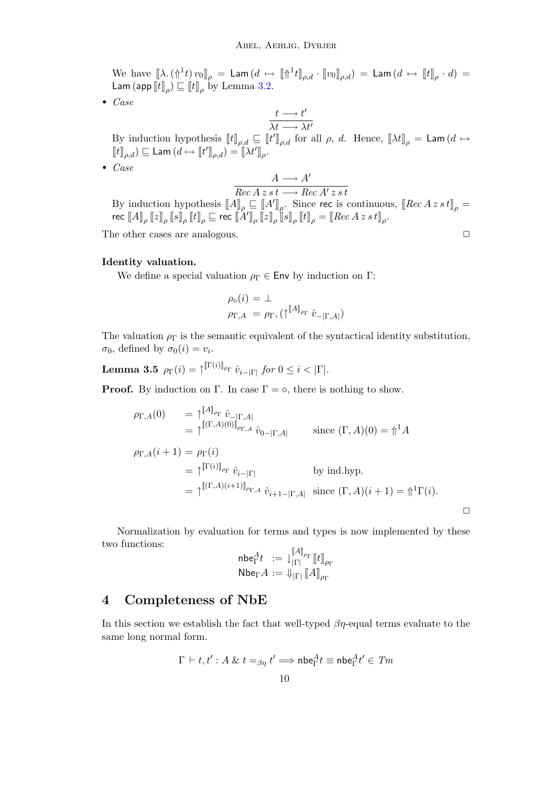We have  $[\![\lambda\ldotp(\Uparrow^{1} t)\,v_0]\!]_{\rho} \,=\, {\sf Lam}\,(d \;\mapsto\; [\![\Uparrow^{1} t]\!]_{\rho,d} \cdot [\![v_0]\!]_{\rho,d}) \,=\, {\sf Lam}\,(d \;\mapsto\; [\![t]\!]_{\rho} \cdot d) \,=\,$ Lam (app  $\llbracket t \rrbracket_{\rho} \rangle \sqsubseteq \llbracket t \rrbracket_{\rho}$  by Lemma [3.2.](#page-7-1)

• Case

$$
\frac{t\longrightarrow t'}{\lambda t\longrightarrow \lambda t'}
$$

By induction hypothesis  $[[t]]_{\rho,d} \subseteq [[t']_{\rho,d}$  for all  $\rho$ , d. Hence,  $[[\lambda t]]_{\rho} = \textsf{Lam}(d \mapsto$  $\llbracket t \rrbracket_{\rho,d}) \sqsubseteq \mathsf{Lam}\left(d \mapsto \llbracket t' \rrbracket_{\rho,d}\right) = \llbracket \lambda t' \rrbracket_{\rho}.$ 

• Case

$$
\frac{A \longrightarrow A'}{Rec A z s t \longrightarrow Rec A' z s t}
$$

By induction hypothesis  $[[A]]_\rho \sqsubseteq [A']_\rho$ . Since rec is continuous,  $[[Rec A z s t]]_\rho =$  $\mathsf{rec}\text{ }\llbracket A\rrbracket_{\rho}\llbracket z\rrbracket_{\rho}\llbracket t\rrbracket_{\rho}\sqsubseteq\mathsf{rec}\text{ }\llbracket A'\rrbracket_{\rho}\llbracket z\rrbracket_{\rho}\llbracket t\rrbracket_{\rho}=\llbracket Rec\,A\,z\,s\,t\rrbracket_{\rho}.$ 

The other cases are analogous.  $\Box$ 

#### Identity valuation.

We define a special valuation  $\rho_{\Gamma} \in \mathsf{Env}$  by induction on  $\Gamma$ :

$$
\rho_{\circ}(i) = \perp
$$
  

$$
\rho_{\Gamma,A} = \rho_{\Gamma}, (\uparrow^{[A]_{\rho_{\Gamma}}} \hat{v}_{-|\Gamma,A|})
$$

The valuation  $\rho_{\Gamma}$  is the semantic equivalent of the syntactical identity substitution,  $\sigma_0$ , defined by  $\sigma_0(i) = v_i$ .

 $\textbf{Lemma 3.5} \;\; \rho_{\Gamma}(i)=\uparrow^{\llbracket \Gamma(i) \rrbracket_{\rho_{\Gamma}}} \hat{v}_{i-|\Gamma|} \; \textit{for} \; 0 \leq i < |\Gamma|.$ 

**Proof.** By induction on Γ. In case  $\Gamma = \diamond$ , there is nothing to show.

$$
\rho_{\Gamma,A}(0) = \uparrow^{[A]_{\rho_{\Gamma}}} \hat{v}_{-|\Gamma,A|}
$$
\n
$$
= \uparrow^{[(\Gamma,A)(0)]_{\rho_{\Gamma,A}}} \hat{v}_{0-|\Gamma,A|} \qquad \text{since } (\Gamma,A)(0) = \uparrow^{\Gamma} A
$$
\n
$$
\rho_{\Gamma,A}(i+1) = \rho_{\Gamma}(i)
$$
\n
$$
= \uparrow^{[\Gamma(i)]_{\rho_{\Gamma}}} \hat{v}_{i-|\Gamma|} \qquad \text{by ind.hyp.}
$$
\n
$$
= \uparrow^{[(\Gamma,A)(i+1)]_{\rho_{\Gamma,A}}} \hat{v}_{i+1-|\Gamma,A|} \text{ since } (\Gamma,A)(i+1) = \uparrow^{\Gamma}(\Gamma(i)).
$$

 $\Box$ 

Normalization by evaluation for terms and types is now implemented by these two functions:  $\[Gamma(A)$ ]

$$
\begin{array}{ll}\n\mathsf{nbe}_{\Gamma}^{A}t & := \downarrow_{|\Gamma|}^{\mathbb{I}A_{\rho_{\Gamma}}}[\![t]\!]_{\rho_{\Gamma}} \\
\mathsf{Nbe}_{\Gamma}A & := \Downarrow_{|\Gamma|} [\![A]\!]_{\rho_{\Gamma}}\n\end{array}
$$

### 4 Completeness of NbE

In this section we establish the fact that well-typed  $\beta\eta$ -equal terms evaluate to the same long normal form.

$$
\Gamma \vdash t, t' : A \& t =_{\beta\eta} t' \Longrightarrow \mathsf{nbe}_{\Gamma}^A t \equiv \mathsf{nbe}_{\Gamma}^A t' \in \mathit{Tm}
$$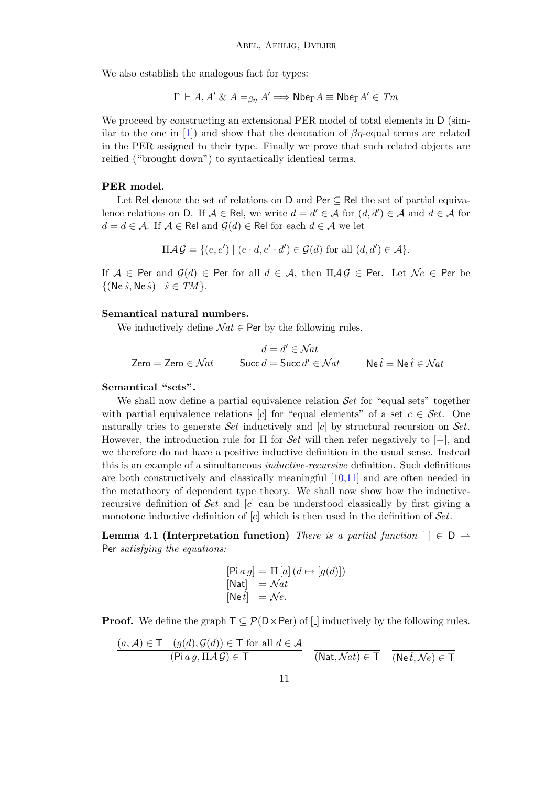We also establish the analogous fact for types:

$$
\Gamma \vdash A, A' \& A =_{\beta\eta} A' \Longrightarrow \mathsf{Nbe}_{\Gamma} A \equiv \mathsf{Nbe}_{\Gamma} A' \in \mathit{Tm}
$$

We proceed by constructing an extensional PER model of total elements in D (sim-ilar to the one in [\[1\]](#page-18-3)) and show that the denotation of  $\beta\eta$ -equal terms are related in the PER assigned to their type. Finally we prove that such related objects are reified ("brought down") to syntactically identical terms.

#### PER model.

Let Rel denote the set of relations on D and Per ⊆ Rel the set of partial equivalence relations on D. If  $A \in \mathsf{Rel}$ , we write  $d = d' \in \mathcal{A}$  for  $(d, d') \in \mathcal{A}$  and  $d \in \mathcal{A}$  for  $d = d \in \mathcal{A}$ . If  $\mathcal{A} \in \mathsf{Rel}$  and  $\mathcal{G}(d) \in \mathsf{Rel}$  for each  $d \in \mathcal{A}$  we let

$$
\Pi \mathcal{A} \mathcal{G} = \{ (e, e') \mid (e \cdot d, e' \cdot d') \in \mathcal{G}(d) \text{ for all } (d, d') \in \mathcal{A} \}.
$$

If  $A \in$  Per and  $\mathcal{G}(d) \in$  Per for all  $d \in \mathcal{A}$ , then  $\Pi \mathcal{A} \mathcal{G} \in$  Per. Let  $\mathcal{N}e \in$  Per be  $\{(\text{Ne }\hat{s}, \text{Ne }\hat{s}) \mid \hat{s} \in TM\}.$ 

#### Semantical natural numbers.

We inductively define  $\mathcal{N}at \in$  Per by the following rules.

$$
\cfrac{d = d' \in Nat}{\text{Zero} = \text{Zero} \in Nat} \qquad \cfrac{d = d' \in Nat}{\text{Succ } d = \text{Succ } d' \in Nat} \qquad \cfrac{d = k}{\text{Ne } \hat{t} = \text{Ne } \hat{t} \in Nat}
$$

#### Semantical "sets".

We shall now define a partial equivalence relation Set for "equal sets" together with partial equivalence relations [c] for "equal elements" of a set  $c \in \mathcal{S}et$ . One naturally tries to generate Set inductively and  $[c]$  by structural recursion on Set. However, the introduction rule for  $\Pi$  for  $Set$  will then refer negatively to  $[-]$ , and we therefore do not have a positive inductive definition in the usual sense. Instead this is an example of a simultaneous inductive-recursive definition. Such definitions are both constructively and classically meaningful [\[10](#page-19-15)[,11\]](#page-19-16) and are often needed in the metatheory of dependent type theory. We shall now show how the inductiverecursive definition of  $\mathcal{S}et$  and  $[c]$  can be understood classically by first giving a monotone inductive definition of  $[c]$  which is then used in the definition of  $Set$ .

Lemma 4.1 (Interpretation function) There is a partial function  $[\ ] \in D \rightarrow$ Per satisfying the equations:

$$
[\text{Pi } a g] = \Pi [a] (d \mapsto [g(d)])
$$
  

$$
[\text{Nat}] = \mathcal{N}at
$$
  

$$
[\text{Ne } \hat{t}] = \mathcal{N}e.
$$

**Proof.** We define the graph  $T \subseteq \mathcal{P}(D \times Per)$  of  $\Box$  inductively by the following rules.

$$
\frac{(a, \mathcal{A}) \in \mathsf{T} \quad (g(d), \mathcal{G}(d)) \in \mathsf{T} \text{ for all } d \in \mathcal{A}}{( \text{Pi } a g, \Pi \mathcal{A} \mathcal{G}) \in \mathsf{T}} \quad \frac{}{(\mathsf{Nat}, \mathcal{N}at) \in \mathsf{T}} \quad \frac{}{(\mathsf{Ne} \,\hat{t}, \mathcal{N}e) \in \mathsf{T}}{(\mathsf{Ne} \,\hat{t}, \mathcal{N}e) \in \mathsf{T}}
$$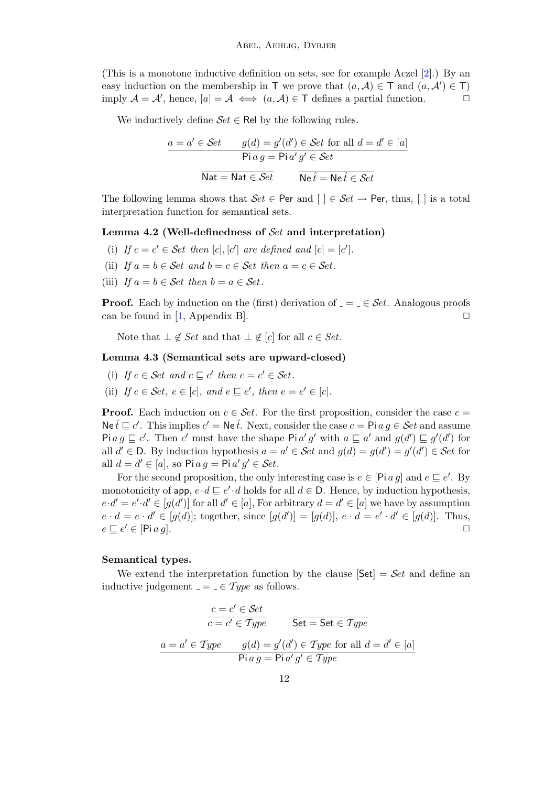(This is a monotone inductive definition on sets, see for example Aczel [\[2\]](#page-18-4).) By an easy induction on the membership in T we prove that  $(a, \mathcal{A}) \in \mathcal{T}$  and  $(a, \mathcal{A}') \in \mathcal{T}$ ) imply  $A = A'$ , hence,  $[a] = A \iff (a, A) \in \mathsf{T}$  defines a partial function.

We inductively define  $\mathcal{S}et \in \mathsf{Rel}$  by the following rules.

$$
\frac{a = a' \in \mathcal{S}et \qquad g(d) = g'(d') \in \mathcal{S}et \text{ for all } d = d' \in [a]}{\text{Pi } a g = \text{Pi } a' g' \in \mathcal{S}et}
$$

$$
\overline{\text{Nat}} = \text{Nat } \in \mathcal{S}et \qquad \overline{\text{Ne } \hat{t} = \text{Ne } \hat{t} \in \mathcal{S}et}
$$

The following lemma shows that  $Set \in Per$  and  $[L] \in Set \rightarrow Per$ , thus,  $[L]$  is a total interpretation function for semantical sets.

#### Lemma 4.2 (Well-definedness of  $\mathcal{S}_{et}$  and interpretation)

- (i) If  $c = c' \in$  Set then  $[c], [c']$  are defined and  $[c] = [c']$ .
- (ii) If  $a = b \in \mathcal{S}et$  and  $b = c \in \mathcal{S}et$  then  $a = c \in \mathcal{S}et$ .
- (iii) If  $a = b \in \mathcal{S}et$  then  $b = a \in \mathcal{S}et$ .

**Proof.** Each by induction on the (first) derivation of  $=$   $\in$   $Set$ . Analogous proofs can be found in [\[1,](#page-18-3) Appendix B].  $\square$ 

Note that  $\bot \notin Set$  and that  $\bot \notin [c]$  for all  $c \in Set$ .

#### <span id="page-11-0"></span>Lemma 4.3 (Semantical sets are upward-closed)

- (i) If  $c \in \mathcal{S}et$  and  $c \sqsubseteq c'$  then  $c = c' \in \mathcal{S}et$ .
- (ii) If  $c \in \mathcal{S}et, e \in [c]$ , and  $e \sqsubseteq e'$ , then  $e = e' \in [c]$ .

**Proof.** Each induction on  $c \in \mathcal{S}et$ . For the first proposition, consider the case  $c =$  $\mathsf{Ne}\,\hat{t}\sqsubseteq c'.$  This implies  $c' = \mathsf{Ne}\,\hat{t}.$  Next, consider the case  $c = \mathsf{P}i\,a\,g \in \mathcal{S}et$  and assume Pi  $a g \sqsubseteq c'$ . Then c' must have the shape Pi a' g' with  $a \sqsubseteq a'$  and  $g(d') \sqsubseteq g'(d')$  for all  $d' \in D$ . By induction hypothesis  $a = a' \in \mathcal{S}et$  and  $g(d) = g(d') = g'(d') \in \mathcal{S}et$  for all  $d = d' \in [a]$ , so Pi  $ag = \text{Pi } a' g' \in \mathcal{S}et$ .

For the second proposition, the only interesting case is  $e \in [P_i \ a \ g]$  and  $e \sqsubseteq e'$ . By monotonicity of app,  $e \cdot d \sqsubseteq e' \cdot d$  holds for all  $d \in \mathsf{D}$ . Hence, by induction hypothesis,  $e \cdot d' = e' \cdot d' \in [g(d')]$  for all  $d' \in [a]$ , For arbitrary  $d = d' \in [a]$  we have by assumption  $e \cdot d = e \cdot d' \in [g(d)]$ ; together, since  $[g(d')] = [g(d)]$ ,  $e \cdot d = e' \cdot d' \in [g(d)]$ . Thus,  $e \sqsubseteq e' \in [\text{Pi } a g].$ 

#### Semantical types.

We extend the interpretation function by the clause  $\left[Set\right] = \mathcal{S}et$  and define an inductive judgement  $=$   $=$   $\in$   $Type$  as follows.

$$
\frac{c = c' \in \mathcal{S}et}{c = c' \in \mathcal{Ty}pe} \qquad \frac{\text{Set} = \text{Set} \in \mathcal{Ty}pe}{\text{Set} = \text{Set} \in \mathcal{Ty}pe}
$$
\n
$$
\frac{a = a' \in \mathcal{Ty}pe \qquad g(d) = g'(d') \in \mathcal{Ty}pe \text{ for all } d = d' \in [a]}{\text{Pi } a g = \text{Pi } a' g' \in \mathcal{Ty}pe}
$$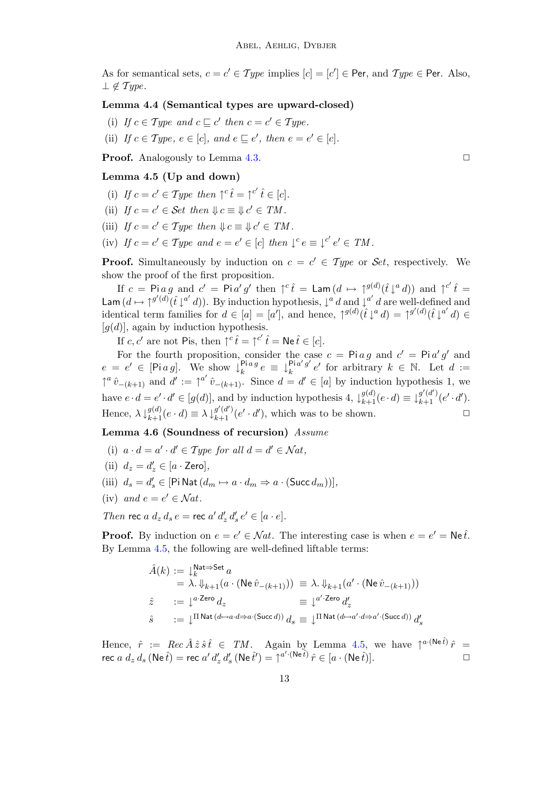As for semantical sets,  $c = c' \in Type$  implies  $[c] = [c'] \in Per$ , and  $Type \in Per$ . Also,  $\perp \notin Type.$ 

#### Lemma 4.4 (Semantical types are upward-closed)

- (i) If  $c \in Type$  and  $c \sqsubseteq c'$  then  $c = c' \in Type$ .
- (ii) If  $c \in Type$ ,  $e \in [c]$ , and  $e \sqsubseteq e'$ , then  $e = e' \in [c]$ .

**Proof.** Analogously to Lemma [4.3.](#page-11-0) ◯

#### <span id="page-12-0"></span>Lemma 4.5 (Up and down)

- (i) If  $c = c' \in Type$  then  $\uparrow^c \hat{t} = \uparrow^{c'} \hat{t} \in [c]$ .
- (ii) If  $c = c' \in \mathcal{S}et \ then \ \Downarrow c \equiv \Downarrow c' \in TM$ .
- (iii) If  $c = c' \in Type$  then  $\forall c \equiv \forall c' \in TM$ .
- (iv) If  $c = c' \in Type$  and  $e = e' \in [c]$  then  $\downarrow^c e \equiv \downarrow^{c'} e' \in TM$ .

**Proof.** Simultaneously by induction on  $c = c' \in Type$  or Set, respectively. We show the proof of the first proposition.

If  $c = \text{Pi } a g$  and  $c' = \text{Pi } a' g'$  then  $\uparrow^c \hat{t} = \text{Lam} (d \mapsto \uparrow^{g(d)} (\hat{t} \downarrow^a d))$  and  $\uparrow^{c'} \hat{t} =$ Lam  $(d \mapsto \uparrow^{g'(d)} (\hat{t} \downarrow^{a'} d))$ . By induction hypothesis,  $\downarrow^{a} d$  and  $\downarrow^{a'} d$  are well-defined and identical term families for  $d \in [a] = [a']$ , and hence,  $\int^{g(d)} (\hat{t} \downarrow^a d) = \int^{g'(d)} (\hat{t} \downarrow^{a'} d) \in$  $[q(d)]$ , again by induction hypothesis.

If  $c, c'$  are not Pis, then  $\uparrow^c \hat{t} = \uparrow^{c'} \hat{t} = \text{Ne } \hat{t} \in [c].$ 

For the fourth proposition, consider the case  $c = \text{Pi} a g$  and  $c' = \text{Pi} a' g'$  and  $e = e' \in [\text{Pi } a g]$ . We show  $\downarrow_k^{\text{Pi } a g}$  $\lim_{k \to \infty} e \equiv \downarrow_k^{\text{Pi } a' g'}$  $\frac{\text{Pi}a' g'}{k} e'$  for arbitrary  $k \in \mathbb{N}$ . Let  $d :=$  $\uparrow^a \hat{v}_{-(k+1)}$  and  $d' := \uparrow^{a'} \hat{v}_{-(k+1)}$ . Since  $d = d' \in [a]$  by induction hypothesis 1, we have  $e \cdot d = e' \cdot d' \in [g(d)]$ , and by induction hypothesis  $4$ ,  $\downarrow_{k+1}^{g(d)} (e \cdot d) \equiv \downarrow_{k+1}^{g'(d')} (e' \cdot d')$ . Hence,  $\lambda \downarrow_{k+1}^{g(d)} (e \cdot d) \equiv \lambda \downarrow_{k+1}^{g'(d')} (e' \cdot d')$ , which was to be shown.

<span id="page-12-1"></span>Lemma 4.6 (Soundness of recursion) Assume

- (i)  $a \cdot d = a' \cdot d' \in Type$  for all  $d = d' \in Nat$ ,
- (ii)  $d_z = d'_z \in [a \cdot \textsf{Zero}],$
- (iii)  $d_s = d'_s \in [\text{Pi Nat}(d_m \mapsto a \cdot d_m \Rightarrow a \cdot (\text{Succ } d_m))],$
- (iv) and  $e = e' \in \mathcal{N}at$ .

Then rec  $a \, d_z \, d_s \, e =$  rec  $a' \, d'_z \, d'_s \, e' \in [a \cdot e]$ .

**Proof.** By induction on  $e = e' \in Nat$ . The interesting case is when  $e = e' = Ne\hat{t}$ . By Lemma [4.5,](#page-12-0) the following are well-defined liftable terms:

$$
\begin{array}{llll} \hat{A}(k) & := \downarrow_k^{\mathsf{Nat} \Rightarrow \mathsf{Set} \, a} \\ & = \; \lambda. \, \Downarrow_{k+1} (a \cdot (\mathsf{Ne} \, \hat{v}_{-(k+1)})) \; \equiv \; \lambda. \, \Downarrow_{k+1} (a' \cdot (\mathsf{Ne} \, \hat{v}_{-(k+1)})) \\ \hat{z} & := \downarrow^{a \cdot \mathsf{Zero}} d_z & \equiv \; \downarrow^{a' \cdot \mathsf{Zero}} d'_z \\ \hat{s} & := \; \downarrow^{\Pi \, \mathsf{Nat} \, (d \mapsto a \cdot d \Rightarrow a \cdot (\mathsf{Succ} \, d))} \, d_s \; \equiv \; \downarrow^{\Pi \, \mathsf{Nat} \, (d \mapsto a' \cdot d \Rightarrow a' \cdot (\mathsf{Succ} \, d))} \, d'_s \end{array}
$$

Hence,  $\hat{r} := Rec \hat{A} \hat{z} \hat{s} \hat{t} \in TM$ . Again by Lemma [4.5,](#page-12-0) we have  $\int^{a(\text{Ne}\hat{t})} \hat{r} =$ rec  $a\ d_z\ d_s$  (Ne  $\hat{t}) =$  rec  $a'\ d'_z\ d'_s$  (Ne  $\hat{t}') = \uparrow^{a' \cdot (\text{Ne } \hat{t})} \hat{r} \in [a \cdot (\text{Ne } \hat{t})]$ .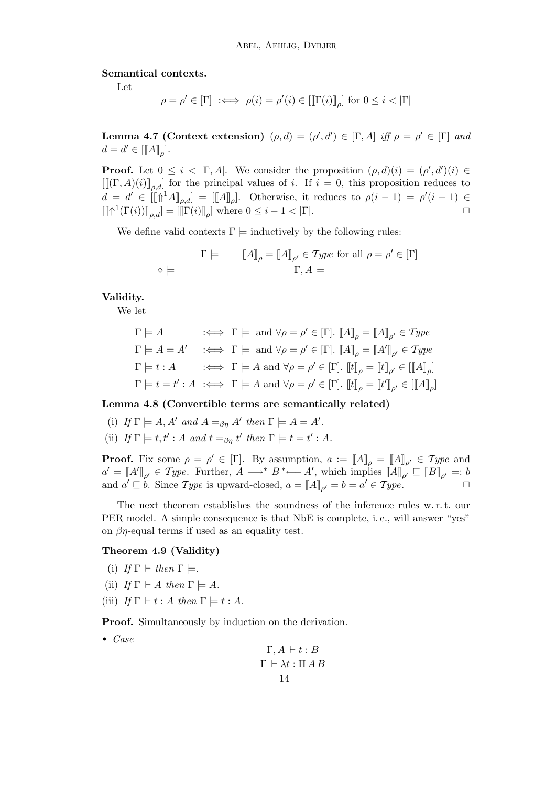Semantical contexts.

Let

$$
\rho = \rho' \in [\Gamma] \iff \rho(i) = \rho'(i) \in [\llbracket \Gamma(i) \rrbracket_{\rho}] \text{ for } 0 \le i < |\Gamma|
$$

**Lemma 4.7 (Context extension)**  $(\rho, d) = (\rho', d') \in [\Gamma, A]$  iff  $\rho = \rho' \in [\Gamma]$  and  $d = d' \in [[A]]_{\rho}].$ 

**Proof.** Let  $0 \leq i < |\Gamma, A|$ . We consider the proposition  $(\rho, d)(i) = (\rho', d')(i) \in$  $[[[(\Gamma, A)(i)]]_{ad}]$  for the principal values of i. If  $i = 0$ , this proposition reduces to  $d = d' \in [[\mathbb{I} \mathbb{I}^1 A]_{\rho,d}] = [[A]]_{\rho}].$  Otherwise, it reduces to  $\rho(i-1) = \rho'(i-1) \in$  $[[\mathbb{T}^1(\Gamma(i))]_{\rho,d}]=[[\Gamma(i)]_{\rho}]$  where  $0 \leq i-1 < |\Gamma|$ .

We define valid contexts  $\Gamma \models$  inductively by the following rules:

$$
\frac{\Gamma \models \qquad [A]_{\rho} = [A]_{\rho'} \in Type \text{ for all } \rho = \rho' \in [\Gamma]}{\Gamma, A \models}
$$

Validity.

We let

$$
\Gamma \models A \qquad :\iff \Gamma \models \text{ and } \forall \rho = \rho' \in [\Gamma]. \text{ } [A]_{\rho} = [A]_{\rho'} \in \mathit{Type}
$$
\n
$$
\Gamma \models A = A' \quad :\iff \Gamma \models \text{ and } \forall \rho = \rho' \in [\Gamma]. \text{ } [A]_{\rho} = [A']_{\rho'} \in \mathit{Type}
$$
\n
$$
\Gamma \models t : A \qquad :\iff \Gamma \models A \text{ and } \forall \rho = \rho' \in [\Gamma]. \text{ } [t]_{\rho} = [t]_{\rho'} \in [[A]_{\rho}]
$$
\n
$$
\Gamma \models t = t' : A \iff \Gamma \models A \text{ and } \forall \rho = \rho' \in [\Gamma]. \text{ } [t]_{\rho} = [t']_{\rho'} \in [[A]_{\rho}]
$$

#### <span id="page-13-0"></span>Lemma 4.8 (Convertible terms are semantically related)

- (i) If  $\Gamma \models A, A'$  and  $A =_{\beta\eta} A'$  then  $\Gamma \models A = A'$ .
- (ii) If  $\Gamma \models t, t' : A$  and  $t =_{\beta\eta} t'$  then  $\Gamma \models t = t' : A$ .

**Proof.** Fix some  $\rho = \rho' \in [\Gamma]$ . By assumption,  $a := [A]_{\rho} = [A]_{\rho'} \in Type$  and  $a' = [A']_{\rho'} \in Type$ . Further,  $A \longrightarrow^* B^* \longleftarrow A'$ , which implies  $[I_A]_{\rho'} \sqsubseteq [B]_{\rho'} =: b$ and  $a' \sqsubseteq b$ . Since Type is upward-closed,  $a = [A]_{\rho'} = b = a' \in Type$ .

The next theorem establishes the soundness of the inference rules w. r. t. our PER model. A simple consequence is that NbE is complete, i.e., will answer "yes" on  $\beta$ *n*-equal terms if used as an equality test.

#### <span id="page-13-1"></span>Theorem 4.9 (Validity)

- (i) If  $\Gamma \vdash \text{then } \Gamma \models$ .
- (ii) If  $\Gamma \vdash A$  then  $\Gamma \models A$ .
- (iii) If  $\Gamma \vdash t : A$  then  $\Gamma \models t : A$ .

Proof. Simultaneously by induction on the derivation.

• Case

$$
\frac{\Gamma, A \vdash t : B}{\Gamma \vdash \lambda t : \Pi \, A \, B}
$$
  
14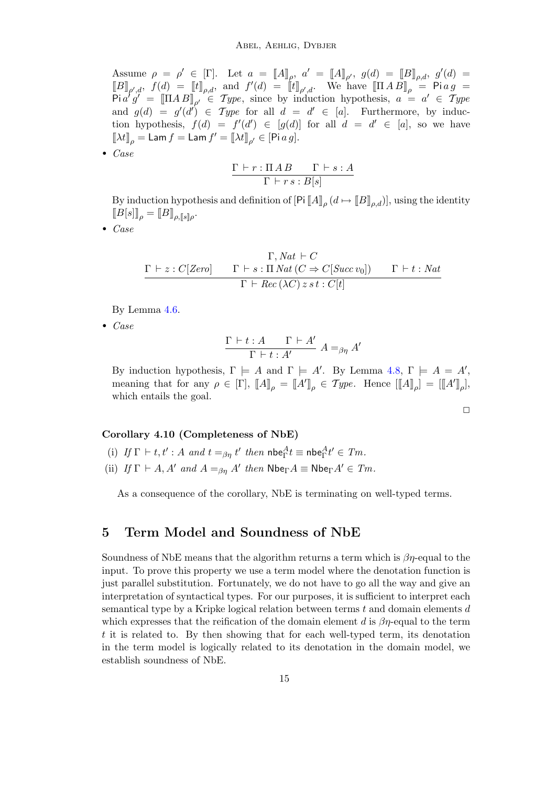Assume  $\rho = \rho' \in [\Gamma]$ . Let  $a = [A]_{\rho}$ ,  $a' = [A]_{\rho'}$ ,  $g(d) = [B]_{\rho,d}$ ,  $g'(d) =$  $[\![B]\!]_{\rho',d}, f(d) = [\![t]\!]_{\rho,d},$  and  $f'(d) = [![t]\!]_{\rho',d}.$  We have  $[\![\Pi \, A \, B]\!]_{\rho} = \mathsf{P} \mathsf{i} \, a \, g =$  $\operatorname{Pi} a' g' = [\Pi A B]_{\rho'} \in Type$ , since by induction hypothesis,  $a = a' \in Type$ and  $g(d) = g'(d') \in Type$  for all  $d = d' \in [a]$ . Furthermore, by induction hypothesis,  $f(d) = f'(d') \in [g(d)]$  for all  $d = d' \in [a]$ , so we have  $[\![\lambda t]\!]_\rho = \mathsf{Lam}\, f = \mathsf{Lam}\, f' = [\![\lambda t]\!]_{\rho'} \in [\mathsf{Pi}\, a\, g].$ 

• Case

$$
\frac{\Gamma\vdash r:\Pi\,AB\qquad\Gamma\vdash s:A}{\Gamma\vdash rs:B[s]}
$$

By induction hypothesis and definition of  $[P_1[[A]]_\rho (d \mapsto [B]]_{\rho,d})]$ , using the identity  $[[B[s]]_{\rho} = [[B]]_{\rho, [[s]]\rho}.$ 

• Case

$$
\cfrac{\Gamma, Nat \vdash C}{\Gamma \vdash z : C[Zero]} \qquad \cfrac{\Gamma \vdash s : \Pi \, Nat \, (C \Rightarrow C[Succ\, vo])}{\Gamma \vdash Rec \, (\lambda C) \, z \, s \, t : C[t]} \qquad \cfrac{\Gamma \vdash t : \, Nat}{\Gamma \vdash Rec \, (\lambda C) \, z \, s \, t : C[t]}
$$

By Lemma [4.6.](#page-12-1)

• Case

$$
\frac{\Gamma \vdash t:A \qquad \Gamma \vdash A'}{\Gamma \vdash t:A'} A =_{\beta\eta} A'
$$

By induction hypothesis,  $\Gamma \models A$  and  $\Gamma \models A'$ . By Lemma [4.8,](#page-13-0)  $\Gamma \models A = A'$ , meaning that for any  $\rho \in [\Gamma], [\![A]\!]_{\rho} = [\![A']\!]_{\rho} \in \mathcal{Type}.$  Hence  $[[\![A]\!]_{\rho}] = [[\![A']\!]_{\rho}],$ which entails the goal.

#### $\Box$

#### Corollary 4.10 (Completeness of NbE)

- (i) If  $\Gamma \vdash t, t' : A$  and  $t =_{\beta\eta} t'$  then  $\mathsf{nbe}^A_\Gamma t \equiv \mathsf{nbe}^A_\Gamma t' \in Tm$ .
- (ii) If  $\Gamma \vdash A$ , A' and  $A =_{\beta\eta} A'$  then  $\mathsf{Nbe}_{\Gamma} A \equiv \mathsf{Nbe}_{\Gamma} A' \in Tm$ .

As a consequence of the corollary, NbE is terminating on well-typed terms.

## 5 Term Model and Soundness of NbE

Soundness of NbE means that the algorithm returns a term which is  $\beta\eta$ -equal to the input. To prove this property we use a term model where the denotation function is just parallel substitution. Fortunately, we do not have to go all the way and give an interpretation of syntactical types. For our purposes, it is sufficient to interpret each semantical type by a Kripke logical relation between terms  $t$  and domain elements  $d$ which expresses that the reification of the domain element d is  $\beta\eta$ -equal to the term t it is related to. By then showing that for each well-typed term, its denotation in the term model is logically related to its denotation in the domain model, we establish soundness of NbE.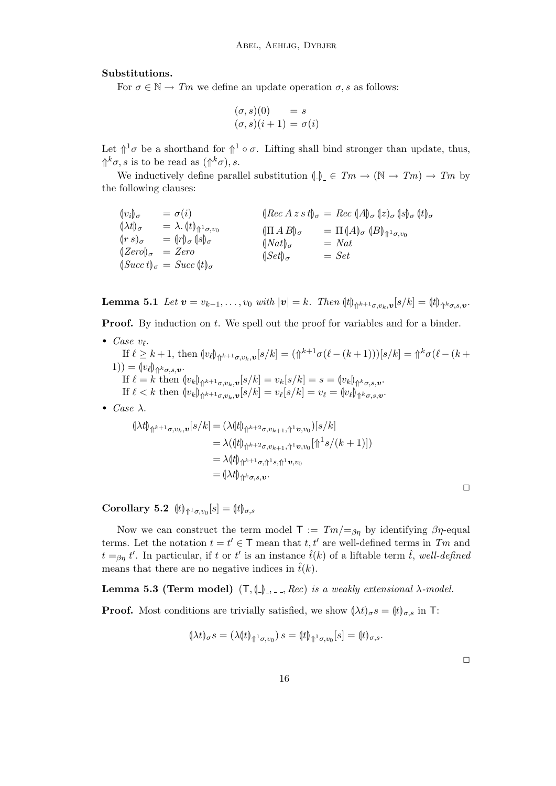#### Substitutions.

For  $\sigma \in \mathbb{N} \to \mathbb{T}m$  we define an update operation  $\sigma$ , s as follows:

$$
(\sigma, s)(0) = s
$$
  

$$
(\sigma, s)(i + 1) = \sigma(i)
$$

Let  $\mathcal{L}^1\sigma$  be a shorthand for  $\mathcal{L}^1\circ\sigma$ . Lifting shall bind stronger than update, thus,  $\hat{\mathbb{A}}^k \sigma$ , *s* is to be read as  $(\hat{\mathbb{A}}^k \sigma)$ , *s*.

We inductively define parallel substitution  $\Box$   $\Box$   $\Box$   $T_m \rightarrow (\mathbb{N} \rightarrow T_m) \rightarrow T_m$  by the following clauses:

$$
\begin{array}{llll}\n\langle v_i \rangle_{\sigma} & = \sigma(i) & \langle [Rec\,A \, z \, s \, t]_{\sigma} = Rec\, (A)_{\sigma} \, (z)_{\sigma} \, (s)_{\sigma} \, (t)_{\sigma} \\
\langle \lambda t \rangle_{\sigma} & = \lambda \cdot (t)_{\Uparrow^{1} \sigma, v_{0}} & \langle \prod A \, B \rangle_{\sigma} & = \Pi \, (A)_{\sigma} \, (B)_{\Uparrow^{1} \sigma, v_{0}} \\
\langle [T \, A \, B]_{\sigma} & = \Pi \, (A)_{\sigma} \, (B)_{\Uparrow^{1} \sigma, v_{0}} \\
\langle [C \, C \, t]_{\sigma} & = Zero & \langle [Set]_{\sigma} & = Set\n\end{array}
$$

**Lemma 5.1** Let  $\boldsymbol{v} = v_{k-1}, \ldots, v_0$  with  $|\boldsymbol{v}| = k$ . Then  $\|t\|_{\hat{\mathcal{V}}^{k+1}\sigma,v_k,\boldsymbol{v}}[s/k] = \|t\|_{\hat{\mathcal{V}}^{k}\sigma,s,\boldsymbol{v}}$ .

**Proof.** By induction on t. We spell out the proof for variables and for a binder.

• Case  $v_{\ell}$ . If  $\ell \geq k+1$ , then  $\langle w_\ell \rangle_{\Uparrow^{k+1} \sigma, v_k, v} [s/k] = (\Uparrow^{k+1} \sigma(\ell - (k+1)))[s/k] = \Uparrow^k \sigma(\ell - (k+1))$ 1) =  $\langle v_\ell \rangle_{\Uparrow^k \sigma, s, \mathbf{v}}$ .<br>If  $\ell = k$  then If  $\ell = k$  then  $\langle v_k \rangle_{\mathcal{H}^{k+1}\sigma,v_k}$ ,  $v[s/k] = v_k[s/k] = s = \langle v_k \rangle_{\mathcal{H}^k\sigma,s,v}$ . If  $\ell < k$  then  $\langle v_k \rangle_{\mathcal{L}^{k+1}\sigma,v_k,\mathbf{v}}[s/k] = v_\ell[s/k] = v_\ell = \langle v_\ell \rangle_{\mathcal{L}^{k}\sigma,s,\mathbf{v}}$ . • *Case*  $\lambda$ .

$$
(\lambda t)_{\Uparrow^{k+1}\sigma,v_k,\mathbf{v}}[s/k] = (\lambda(t)_{\Uparrow^{k+2}\sigma,v_{k+1},\Uparrow^{1}\mathbf{v},v_0})[s/k]
$$
  
\n
$$
= \lambda((t)_{\Uparrow^{k+2}\sigma,v_{k+1},\Uparrow^{1}\mathbf{v},v_0}[\Uparrow^{1} s/(k+1)])
$$
  
\n
$$
= \lambda(t)_{\Uparrow^{k+1}\sigma,\Uparrow^{1}\mathbf{v},v_0}
$$
  
\n
$$
= (\lambda t)_{\Uparrow^{k}\sigma,s,\mathbf{v}}.
$$

**Corollary 5.2**  $\left[t\right]_{\Uparrow^{1}\sigma,v_0}[s] = \left[t\right]_{\sigma,s}$ 

Now we can construct the term model  $T := Tm/=\varepsilon_m$  by identifying  $\beta\eta$ -equal terms. Let the notation  $t = t' \in \mathsf{T}$  mean that  $t, t'$  are well-defined terms in Tm and  $t =_{\beta\eta} t'$ . In particular, if t or t' is an instance  $\hat{t}(k)$  of a liftable term  $\hat{t}$ , well-defined means that there are no negative indices in  $\hat{t}(k)$ .

Lemma 5.3 (Term model)  $(T, \{\_\}, \_ \_ Rec)$  is a weakly extensional  $\lambda$ -model.

**Proof.** Most conditions are trivially satisfied, we show  $(\lambda t)_{\sigma} s = (t)_{\sigma,s}$  in T:

$$
(\lambda t)_{\sigma} s = (\lambda (t)_{\Uparrow^1 \sigma, v_0}) s = (t)_{\Uparrow^1 \sigma, v_0}[s] = (t)_{\sigma, s}.
$$

 $\Box$ 

 $\Box$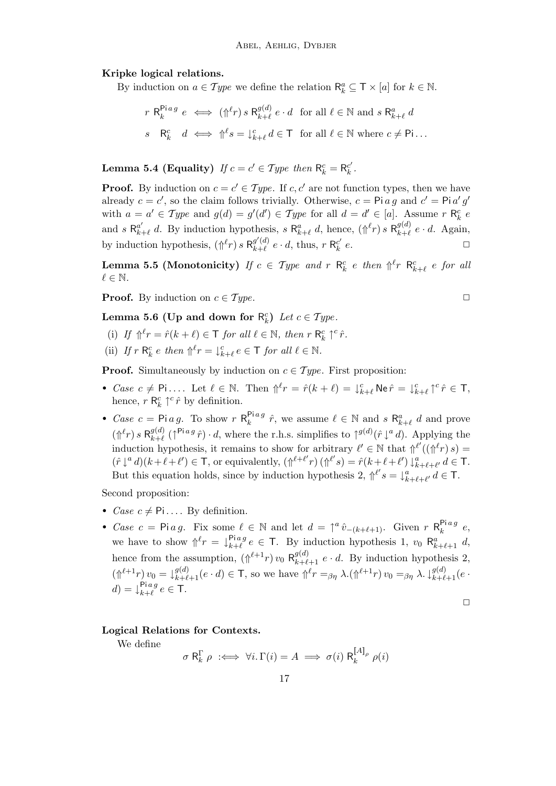#### Kripke logical relations.

By induction on  $a \in Type$  we define the relation  $\mathsf{R}_k^a \subseteq \mathsf{T} \times [a]$  for  $k \in \mathbb{N}$ .

$$
r \ \mathsf{R}_k^{\mathsf{Pi} \, a} \, e \iff (\Uparrow^{\ell} r) \, s \ \mathsf{R}_{k+\ell}^{g(d)} \, e \cdot d \quad \text{for all } \ell \in \mathbb{N} \text{ and } s \ \mathsf{R}_{k+\ell}^a \, d
$$
\n
$$
s \quad \mathsf{R}_k^c \quad d \iff \Uparrow^{\ell} s = \downarrow^c_{k+\ell} d \in \mathsf{T} \quad \text{for all } \ell \in \mathbb{N} \text{ where } c \neq \mathsf{Pi} \dots
$$

<span id="page-16-1"></span>**Lemma 5.4 (Equality)** If  $c = c' \in Type$  then  $\mathsf{R}_k^c = \mathsf{R}_k^{c'}$  $_k^{c'}$  .

**Proof.** By induction on  $c = c' \in Type$ . If c, c' are not function types, then we have already  $c = c'$ , so the claim follows trivially. Otherwise,  $c = \text{Pi } a g$  and  $c' = \text{Pi } a' g'$ with  $a = a' \in Type$  and  $g(d) = g'(d') \in Type$  for all  $d = d' \in [a]$ . Assume r  $\mathsf{R}_k^c$  e and s  $\mathsf{R}_{k}^{a'}$  $a'_{k+\ell}$  d. By induction hypothesis, s  $\mathsf{R}_{k+\ell}^a$  d, hence,  $(\Uparrow^{\ell} r)$  s  $\mathsf{R}_{k+\ell}^{g(d)}$  $_{k+\ell}^{g(a)}$  e · d. Again, by induction hypothesis,  $(\Uparrow^{\ell} r) s \mathsf{R}_{k+\ell}^{g'(d)}$  $\frac{g'(d)}{k+\ell}$   $e \cdot d$ , thus,  $r$  R<sup>c'</sup> k  $e.$ 

<span id="page-16-0"></span>**Lemma 5.5 (Monotonicity)** If  $c \in Type$  and  $r \ R_k^c$  e then  $\Uparrow^{\ell} r \ R_{k+\ell}^c$  e for all  $\ell \in \mathbb{N}$ .

**Proof.** By induction on  $c \in Type$ .

<span id="page-16-2"></span>Lemma 5.6 (Up and down for  $\mathsf{R}_k^c$ ) Let  $c \in Type$ .

- (i) If  $\Uparrow^{\ell} r = \hat{r}(k + \ell) \in \mathsf{T}$  for all  $\ell \in \mathbb{N}$ , then  $r \mathsf{R}_{k}^{c} \uparrow^{c} \hat{r}$ .
- (ii) If  $r \, \mathsf{R}_k^c \, e \, \text{then } \mathbb{\uparrow}^\ell r = \downarrow_{k+\ell}^c e \in \mathsf{T} \text{ for all } \ell \in \mathbb{N}.$

**Proof.** Simultaneously by induction on  $c \in Type$ . First proposition:

- Case  $c \neq \mathsf{Pi} \ldots$  Let  $\ell \in \mathbb{N}$ . Then  $\Uparrow^{\ell} r = \hat{r}(k+\ell) = \int_{k+\ell}^{c} \mathsf{N} \mathsf{e} \, \hat{r} = \int_{k+\ell}^{c} \Uparrow^{\ell} \hat{r} \in \mathsf{T}$ , hence,  $r \mathsf{R}_k^c \uparrow^c \hat{r}$  by definition.
- Case  $c = \text{Pi } a g$ . To show  $r R_k^{\text{Pi } a g}$  $\mathbb{P}_{k}^{\text{liag}}\hat{r}$ , we assume  $\ell \in \mathbb{N}$  and  $s \mathsf{R}_{k+\ell}^{a} d$  and prove  $(\Uparrow^{\ell} r) s \mathsf{R}_{k+\ell}^{g(d)}$  $_{k+\ell}^{g(d)}$  ( $\uparrow^{\mathsf{Pi} \, a}$  $\hat{r}$ ) · d, where the r.h.s. simplifies to  $\uparrow^{g(d)}(\hat{r} \downarrow^a d)$ . Applying the induction hypothesis, it remains to show for arbitrary  $\ell' \in \mathbb{N}$  that  $\int_{\ell}^{\ell'} ((\hat{\mathcal{C}}^{\ell r}) s) =$  $(\hat{r}\downarrow^a d)(k+\ell+\ell') \in \mathsf{T}$ , or equivalently,  $(\Uparrow^{\ell+\ell'} r)(\Uparrow^{\ell'} s) = \hat{r}(k+\ell+\ell')\downarrow^a_{k+\ell+\ell'} d \in \mathsf{T}$ . But this equation holds, since by induction hypothesis 2,  $\int_1^{\ell'} s = \int_{k+\ell+\ell'}^a d \in \mathsf{T}$ .

Second proposition:

- *Case*  $c \neq$  Pi.... By definition.
- Case  $c = \text{Pi } a g$ . Fix some  $\ell \in \mathbb{N}$  and let  $d = \uparrow^a \hat{v}_{-(k+\ell+1)}$ . Given  $r \mathsf{R}_k^{\text{Pi } a g}$  $k^{n \cdot a \cdot g}e,$ we have to show  $\int_{r}^{\ell} r = \int_{r+\ell}^{\text{Pi} a g}$  $e^{pi}e \in \mathsf{T}$ . By induction hypothesis 1,  $v_0$   $\mathsf{R}^a_{k+\ell+1}$  d, hence from the assumption,  $(\bigcap^{\ell+1} r)$   $v_0$   $\mathsf{R}_{k+\ell+1}^{g(d)}$   $e \cdot d$ . By induction hypothesis 2,  $(\Uparrow^{l+1} r) v_0 = \downarrow^{g(d)}_{k+\ell+1}(e \cdot d) \in \mathsf{T}$ , so we have  $\Uparrow^l r =_{\beta\eta} \lambda \cdot (\Uparrow^{l+1} r) v_0 =_{\beta\eta} \lambda \cdot \downarrow^{g(d)}_{k+\ell+1}(e \cdot d)$  $d) = \downarrow_{k+\ell}^{\text{Pi} a g}$  $\lim_{k+\ell}^{\mathbf{p}_i} e \in \mathsf{T}.$

$$
\Box
$$

#### Logical Relations for Contexts.

We define

$$
\sigma \mathsf{R}_k^{\Gamma} \rho \;\; :\Longleftrightarrow \;\forall i . \; \Gamma(i) = A \;\Longrightarrow\; \sigma(i) \mathsf{R}_k^{{[\![} A {]\!]}_\rho} \; \rho(i)
$$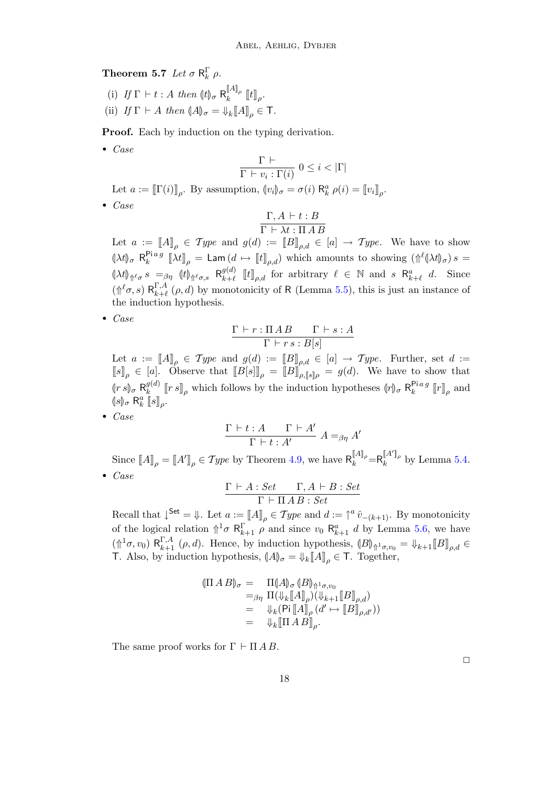**Theorem 5.7** Let  $\sigma \mathsf{R}_k^{\Gamma} \rho$ .

(i) If  $\Gamma \vdash t : A$  then  $(\vert t \vert)_{\sigma} \mathsf{R}_{k}^{[A]_{\rho}}$  $\begin{bmatrix} \mathbb{I}^{11} \mathbb{I}^{\rho} \\ k \end{bmatrix}$   $[t]_{{\rho}}$ . (ii) If  $\Gamma \vdash A$  then  $\langle A \rangle_{\sigma} = \Downarrow_k [\![A]\!]_{\rho} \in \mathsf{T}.$ 

Proof. Each by induction on the typing derivation.

• Case

$$
\frac{\Gamma \vdash}{\Gamma \vdash v_i : \Gamma(i)} 0 \leq i < |\Gamma|
$$

Let  $a := [\![\Gamma(i)]\!]_\rho$ . By assumption,  $\langle v_i \rangle_\sigma = \sigma(i) \; \mathsf{R}^a_k \; \rho(i) = [\![v_i]\!]_\rho$ .

• Case

$$
\frac{\Gamma, A \vdash t : B}{\Gamma \vdash \lambda t : \Pi \, A \, B}
$$

Let  $a := [A]_p \in Type$  and  $g(d) := [B]_{p,d} \in [a] \rightarrow Type$ . We have to show  $(\lambda t)_{\sigma}$  R<sup>Piag</sup>  $\mathbb{E}_{k}^{Hag}$   $\left[\lambda t\right]_{\rho} = \textsf{Lam}\left(d \mapsto \left[\llbracket t \rrbracket_{\rho,d}\right] \right)$  which amounts to showing  $\left(\Uparrow^{\ell} \left(\lambda t\right)_{\sigma}\right) s =$  $(\lambda t)_{\Uparrow^{\ell} \sigma} s =_{\beta \eta} (\vert t \vert)_{\Uparrow^{\ell} \sigma,s} \mathsf{R}^{g(d)}_{k+\ell}$  $\{g^{(d)}_{k+\ell} \; [t]_{\rho,d} \; \text{ for arbitrary } \ell \in \mathbb{N} \; \text{ and } s \; \mathsf{R}_{k+\ell}^a \; d. \quad \text{Since}$  $(\Uparrow^{\ell} \sigma, s) \mathsf{R}^{\Gamma, A}_{k+\ell}$  $\lambda_{k+\ell}^{1,A}(\rho, d)$  by monotonicity of R (Lemma [5.5\)](#page-16-0), this is just an instance of the induction hypothesis.

• Case

$$
\frac{\Gamma\vdash r:\Pi\,AB\qquad\Gamma\vdash s:A}{\Gamma\vdash rs:B[s]}
$$

Let  $a := [A]_p \in Type$  and  $g(d) := [B]_{p,d} \in [a] \rightarrow Type$ . Further, set  $d :=$  $[[s]]_{\rho} \in [a]$ . Observe that  $[[B[s]]_{\rho} = [[B]]_{\rho, [s]_{\rho}} = g(d)$ . We have to show that  $\int_{a}^{b} \binom{s}{s} \sigma \frac{R_{k}^{g(d)}}{R_{k}^{g(d)}}$  $\int_{k}^{g(d)} [r s]_{\rho}$  which follows by the induction hypotheses  $(r)_{\sigma} R_{k}^{\text{Pi} a g}$  $\begin{bmatrix} \mathbf{r} & a & g \\ k & \end{bmatrix}$  [r]  $\phi$  and  $(s)$ <sub>σ</sub> R<sup>*a*</sup><sub>*k*</sub> [[*s*]<sub>*ρ*</sub>.

• Case

$$
\frac{\Gamma \vdash t:A \qquad \Gamma \vdash A'}{\Gamma \vdash t:A'} A =_{\beta\eta} A'
$$

Since  $[[A]]_\rho = [[A']]_\rho \in Type$  by Theorem [4.9,](#page-13-1) we have  $R_k^{[[A]]_\rho} = R_k^{[A']_\rho}$  $\int_k^{\mathbb{I}^{2}} \mathbb{I}^{\rho}$  by Lemma [5.4.](#page-16-1) • Case

$$
\frac{\Gamma \vdash A : Set \qquad \Gamma, A \vdash B : Set}{\Gamma \vdash \Pi \, A \, B : Set}
$$

Recall that  $\downarrow^{\mathsf{Set}} = \Downarrow$ . Let  $a := [A]_p \in \mathcal{Type}$  and  $d := \uparrow^a \hat{v}_{-(k+1)}$ . By monotonicity of the logical relation  $\uparrow^1 \sigma \mathsf{R}_{k+1}^{\Gamma} \rho$  and since  $v_0 \mathsf{R}_{k+1}^a d$  by Lemma [5.6,](#page-16-2) we have  $(\Uparrow^1 \sigma, v_0) \mathsf{R}_{k+1}^{\Gamma, A} (\rho, d)$ . Hence, by induction hypothesis,  $(B|_{\Uparrow^1 \sigma, v_0} = \Downarrow_{k+1} [B]_{\rho, d} \in \mathcal{F}$ . Also, by induction hypothesis,  $(A|_{\mathcal{F}})$ ,  $\top$  To Togethen T. Also, by induction hypothesis,  $(A\mathbf{I}_{\sigma} = \mathbf{I}_{k}[[A]]_{\rho} \in \mathsf{T}$ . Together,

$$
\begin{align}\n(\Pi \, A \, B)_{\sigma} &= \Pi(A)_{\sigma} \, (B)_{\Uparrow \sigma, \nu_0} \\
&=_{\beta \eta} \, \Pi(\Downarrow_k [\![A]\!]_{\rho}) (\Downarrow_{k+1} [\![B]\!]_{\rho, d}) \\
&= \, \Downarrow_k (\text{Pi} \, [A]\!]_{\rho} \, (d' \mapsto [\![B]\!]_{\rho, d'})) \\
&= \, \Downarrow_k [\![\Pi \, A \, B]\!]_{\rho}.\n\end{align}
$$

The same proof works for  $\Gamma \vdash \Pi AB$ .

 $\Box$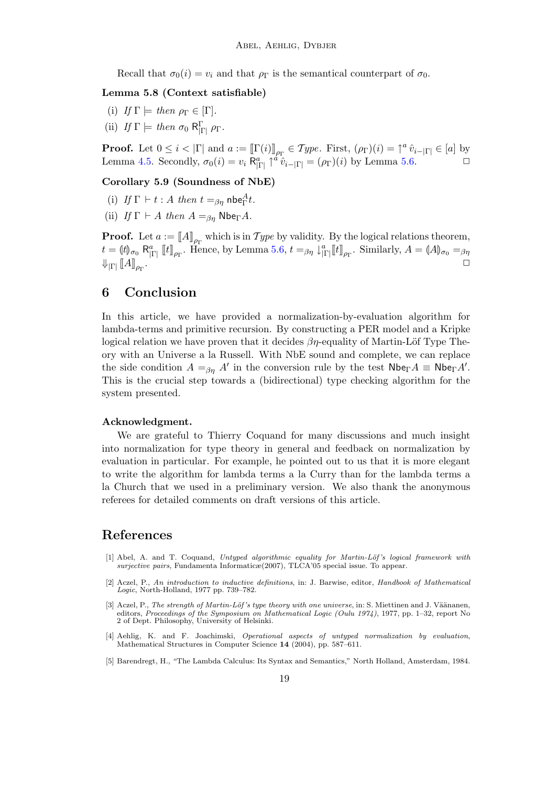Recall that  $\sigma_0(i) = v_i$  and that  $\rho_{\Gamma}$  is the semantical counterpart of  $\sigma_0$ .

#### Lemma 5.8 (Context satisfiable)

- (i) If  $\Gamma \models$  then  $\rho_{\Gamma} \in [\Gamma].$
- (ii) If  $\Gamma \models$  then  $\sigma_0 \mathsf{R}^{\Gamma}$   $\rho_{\Gamma}$ .

**Proof.** Let  $0 \le i < |\Gamma|$  and  $a := [\Gamma(i)]_{\rho_{\Gamma}} \in Type$ . First,  $(\rho_{\Gamma})(i) = \uparrow^a \hat{v}_{i-|\Gamma|} \in [a]$  by Lemma [4.5.](#page-12-0) Secondly,  $\sigma_0(i) = v_i \mathsf{R}_{|\Gamma|}^a \uparrow^{\dot{a}} \hat{v}_{i-|\Gamma|} = (\rho_\Gamma)(i)$  by Lemma [5.6.](#page-16-2)

#### Corollary 5.9 (Soundness of NbE)

- (i) If  $\Gamma \vdash t : A$  then  $t =_{\beta\eta}$  nbe $_{\Gamma}^{A}t$ .
- (ii) If  $\Gamma \vdash A$  then  $A =_{\beta n} \text{Nbe}_{\Gamma}A$ .

**Proof.** Let  $a := [A]_{\rho_{\Gamma}}$  which is in Type by validity. By the logical relations theorem,  $t = (\vert t \vert)_{\sigma_0} \mathsf{R}_{|\Gamma|}^a \; [\![t]\!]_{\rho_\Gamma}.$  Hence, by Lemma [5.6,](#page-16-2)  $t =_{\beta\eta} \downarrow^a_{|\Gamma|} [\![t]\!]_{\rho_\Gamma}.$  Similarly,  $A = (\vert A \vert)_{\sigma_0} =_{\beta\eta}$  $\Downarrow_{|\Gamma|} \llbracket A \rrbracket_{\rho_\Gamma}$ . ✷

## 6 Conclusion

In this article, we have provided a normalization-by-evaluation algorithm for lambda-terms and primitive recursion. By constructing a PER model and a Kripke logical relation we have proven that it decides  $\beta\eta$ -equality of Martin-Löf Type Theory with an Universe a la Russell. With NbE sound and complete, we can replace the side condition  $A =_{\beta\eta} A'$  in the conversion rule by the test  $\mathsf{Nbe}_{\Gamma} A \equiv \mathsf{Nbe}_{\Gamma} A'$ . This is the crucial step towards a (bidirectional) type checking algorithm for the system presented.

#### Acknowledgment.

We are grateful to Thierry Coquand for many discussions and much insight into normalization for type theory in general and feedback on normalization by evaluation in particular. For example, he pointed out to us that it is more elegant to write the algorithm for lambda terms a la Curry than for the lambda terms a la Church that we used in a preliminary version. We also thank the anonymous referees for detailed comments on draft versions of this article.

### References

- <span id="page-18-3"></span>[1] Abel, A. and T. Coquand, Untyped algorithmic equality for Martin-Löf's logical framework with surjective pairs, Fundamenta Informaticæ(2007), TLCA'05 special issue. To appear.
- <span id="page-18-4"></span>[2] Aczel, P., An introduction to inductive definitions, in: J. Barwise, editor, Handbook of Mathematical Logic, North-Holland, 1977 pp. 739–782.
- <span id="page-18-1"></span>[3] Aczel, P., The strength of Martin-Löf's type theory with one universe, in: S. Miettinen and J. Väänanen, editors, *Proceedings of the Symposium on Mathematical Logic (Oulu 1974)*, 1977, pp. 1–32, report No<br>2 of Dept. Philosophy, University of Helsinki.
- <span id="page-18-0"></span>[4] Aehlig, K. and F. Joachimski, Operational aspects of untyped normalization by evaluation, Mathematical Structures in Computer Science 14 (2004), pp. 587–611.
- <span id="page-18-2"></span>[5] Barendregt, H., "The Lambda Calculus: Its Syntax and Semantics," North Holland, Amsterdam, 1984.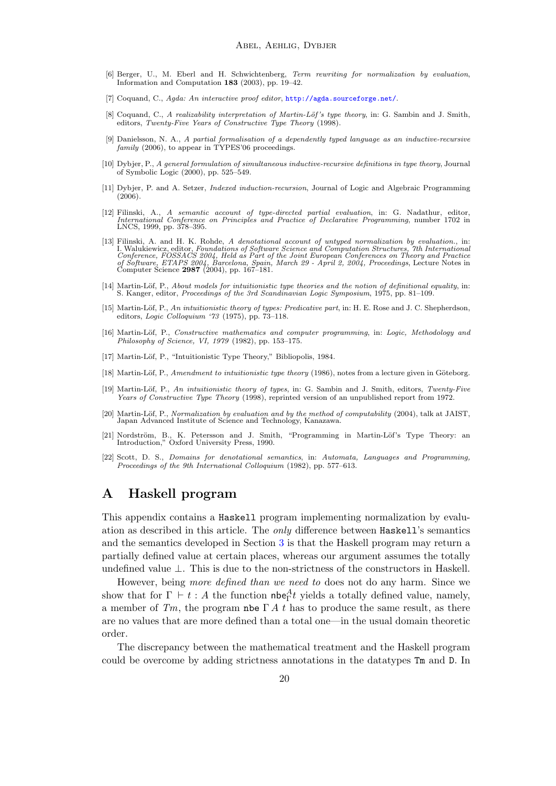- <span id="page-19-10"></span>[6] Berger, U., M. Eberl and H. Schwichtenberg, Term rewriting for normalization by evaluation, Information and Computation 183 (2003), pp. 19–42.
- <span id="page-19-3"></span>[7] Coquand, C., Agda: An interactive proof editor, <http://agda.sourceforge.net/>.
- <span id="page-19-2"></span>[8] Coquand, C., A realizability interpretation of Martin-Löf's type theory, in: G. Sambin and J. Smith, editors, Twenty-Five Years of Constructive Type Theory (1998).
- <span id="page-19-9"></span>[9] Danielsson, N. A., A partial formalisation of a dependently typed language as an inductive-recursive family (2006), to appear in TYPES'06 proceedings.
- <span id="page-19-15"></span>[10] Dybjer, P., A general formulation of simultaneous inductive-recursive definitions in type theory, Journal of Symbolic Logic (2000), pp. 525–549.
- <span id="page-19-16"></span>[11] Dybjer, P. and A. Setzer, Indexed induction-recursion, Journal of Logic and Algebraic Programming  $(2006)$ .
- <span id="page-19-11"></span>[12] Filinski, A., A semantic account of type-directed partial evaluation, in: G. Nadathur, editor, International Conference on Principles and Practice of Declarative Programming, number 1702 in LNCS, 1999, pp. 378–395.
- <span id="page-19-1"></span>[13] Filinski, A. and H. K. Rohde, A denotational account of untyped normalization by evaluation., in:<br>I. Walukiewicz, editor, Foundations of Software Science and Computation Structures, 7th International<br>Conference, FOSS
- <span id="page-19-8"></span>[14] Martin-Löf, P., *About models for intuitionistic type theories and the notion of definitional equality*, in:<br>S. Kanger, editor, *Proceedings of the 3rd Scandinavian Logic Symposium*, 1975, pp. 81–109.
- <span id="page-19-4"></span>[15] Martin-Löf, P., An intuitionistic theory of types: Predicative part, in: H. E. Rose and J. C. Shepherdson, editors, Logic Colloquium '73 (1975), pp. 73–118.
- <span id="page-19-13"></span>[16] Martin-Löf, P., Constructive mathematics and computer programming, in: Logic, Methodology and Philosophy of Science, VI, 1979 (1982), pp. 153–175.
- <span id="page-19-12"></span>[17] Martin-Löf, P., "Intuitionistic Type Theory," Bibliopolis, 1984.
- <span id="page-19-6"></span>[18] Martin-Löf, P., Amendment to intuitionistic type theory (1986), notes from a lecture given in Göteborg.
- <span id="page-19-0"></span>[19] Martin-Löf, P., An intuitionistic theory of types, in: G. Sambin and J. Smith, editors, Twenty-Five Years of Constructive Type Theory (1998), reprinted version of an unpublished report from 1972.
- <span id="page-19-5"></span>[20] Martin-Löf, P., Normalization by evaluation and by the method of computability (2004), talk at JAIST, Japan Advanced Institute of Science and Technology, Kanazawa.
- <span id="page-19-7"></span>K. Petersson and J. Smith, "Programming in Martin-Löf's Type Theory: an [21] Nordström, B., K. Petersson and J. Smith Introduction," Oxford University Press, 1990.
- <span id="page-19-14"></span>[22] Scott, D. S., Domains for denotational semantics, in: Automata, Languages and Programming, Proceedings of the 9th International Colloquium (1982), pp. 577–613.

## A Haskell program

This appendix contains a Haskell program implementing normalization by evaluation as described in this article. The only difference between Haskell's semantics and the semantics developed in Section [3](#page-5-0) is that the Haskell program may return a partially defined value at certain places, whereas our argument assumes the totally undefined value ⊥. This is due to the non-strictness of the constructors in Haskell.

However, being more defined than we need to does not do any harm. Since we show that for  $\Gamma \vdash t : A$  the function nbe<sub>F</sub><sup> $t$ </sup> yields a totally defined value, namely, a member of Tm, the program nbe  $\Gamma A$  t has to produce the same result, as there are no values that are more defined than a total one—in the usual domain theoretic order.

The discrepancy between the mathematical treatment and the Haskell program could be overcome by adding strictness annotations in the datatypes Tm and D. In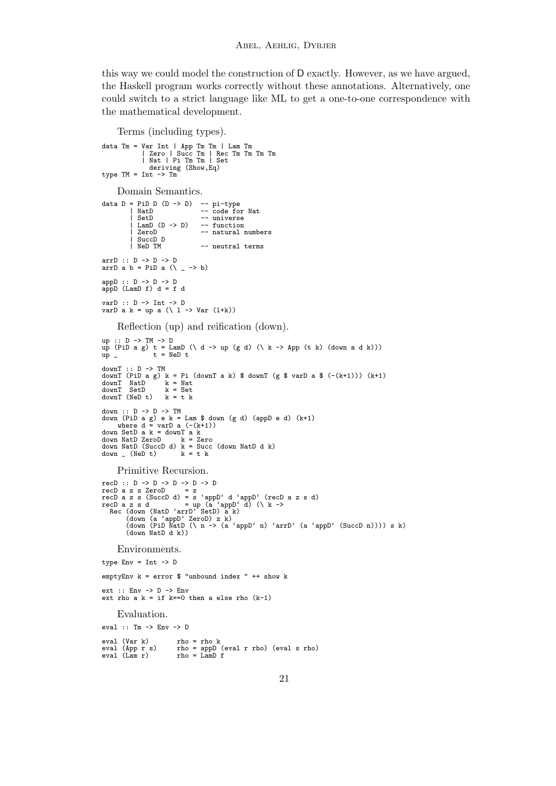this way we could model the construction of D exactly. However, as we have argued, the Haskell program works correctly without these annotations. Alternatively, one could switch to a strict language like ML to get a one-to-one correspondence with the mathematical development.

```
Terms (including types).
data Tm = Var Int | App Tm Tm | Lam Tm
| Zero | Succ Tm | Rec Tm Tm Tm Tm
| Nat | Pi Tm Tm | Set
                   deriving (Show,Eq)
type TM = Int \rightarrow TmDomain Semantics.
data D = PiD D (D -> D) -- pi-type
| NatD -- code for Nat
              Nature 1982<br>SetD -- universe
             \frac{\text{Lamb}}{\text{Zero}} (D -> D)
                                        -- function<br>-- natural numbers
           | SuccD D<br>| SuccD D<br>| NeD TM
                                        -- neutral terms
arrD :: D -> D -> D
arrD a b = PiD a (\ _ -> b)
appD :: D -> D -> D
appD (LamD f) d = f dvarD :: D -> Int -> D
varD a k = up a (\ l -> Var (l+k))
      Reflection (up) and reification (down).
up :: D -> TM -> D
up (PiD a g) t = LamD (\ d -> up (g d) (\ k -> App (t k) (down a d k)))
up _ t = NeD t
downT :: D -> TM
downT (PiD a g) k = Pi (downT a k) $ downT (g $ varD a $ (-(k+1))) (k+1)
downT NatD k = Nat<br>downT SetD k = Set<br>downT (NeD t) k = t k
down :: D -> D -> TM
down (PiD a g) e k = Lam $ down (g d) (appD e d) (k+1)
where d = varD a (-(k+1))
down SetD a k = downT a k
down NatD ZeroD k = Zero
down NatD (SuccD d) k = Succ (down NatD d k)
down = (NeD t) k = t kPrimitive Recursion.
recD :: D \rightarrow D \rightarrow D \rightarrow D \rightarrow D<br>recD a z s ZeroD = z
recD a z s ZeroD = z<br>
recD a z s (SuccD d) = s 'appD' d 'appD' (recD a z s d)<br>
recD a z s d<br>
recD a z s d<br>
recD a z s d<br>
recD a z s d<br>
recD a z s d<br>
recD a z s d<br>
recD a z s d<br>
recD a z s d<br>
Rec (down (NatD 'arrD' SetD) a
          (down NatD d k))
      Environments.
type Env = Int \rightarrow DemptyEnv k = error $ "unbound index " ++ show k
ext :: Env -> D -> Env
ext rho a k = if k==0 then a else rho (k-1)Evaluation.
eval :: Tm -> Env -> D
eval (Var k) rho = rho k
                             \begin{array}{lcl} \texttt{rho} & = \texttt{rho k} \\ \texttt{rho} & = \texttt{appD} \texttt{ (eval r rho)} \texttt{ (eval s rho)} \\ \texttt{rho} & = \texttt{Lamb f} \end{array}eval (Lam r) rho = LamD f
```